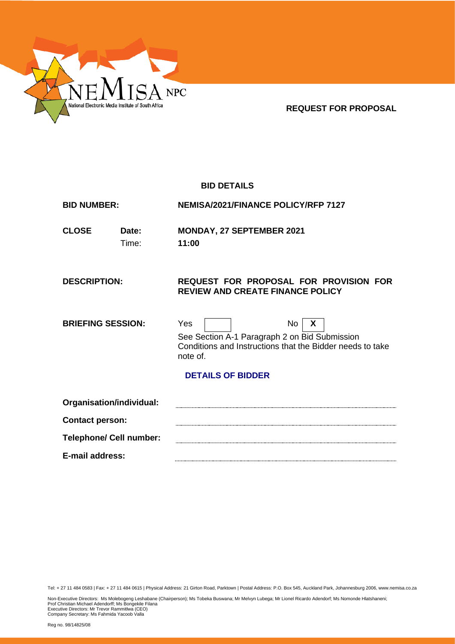

**REQUEST FOR PROPOSAL**

# **BID DETAILS**

| <b>BID NUMBER:</b>             |  | <b>NEMISA/2021/FINANCE POLICY/RFP 7127</b>                                                                                                                           |
|--------------------------------|--|----------------------------------------------------------------------------------------------------------------------------------------------------------------------|
| <b>CLOSE</b><br>Date:<br>Time: |  | <b>MONDAY, 27 SEPTEMBER 2021</b><br>11:00                                                                                                                            |
| <b>DESCRIPTION:</b>            |  | REQUEST FOR PROPOSAL FOR PROVISION FOR<br><b>REVIEW AND CREATE FINANCE POLICY</b>                                                                                    |
| <b>BRIEFING SESSION:</b>       |  | Yes<br>No<br>X<br>See Section A-1 Paragraph 2 on Bid Submission<br>Conditions and Instructions that the Bidder needs to take<br>note of.<br><b>DETAILS OF BIDDER</b> |
| Organisation/individual:       |  |                                                                                                                                                                      |
| <b>Contact person:</b>         |  |                                                                                                                                                                      |
| <b>Telephone/ Cell number:</b> |  |                                                                                                                                                                      |

Tel: + 27 11 484 0583 | Fax: + 27 11 484 0615 | Physical Address: 21 Girton Road, Parktown | Postal Address: P.O. Box 545, Auckland Park, Johannesburg 2006, www.nemisa.co.za

Non-Executive Directors: Ms Molebogeng Leshabane (Chairperson); Ms Tobeka Buswana; Mr Melvyn Lubega; Mr Lionel Ricardo Adendorf; Ms Nomonde Hlatshaneni;<br>Prof Christian Michael Adendorff; Ms Bongekile Filana<br>Executive Dire

**E-mail address:**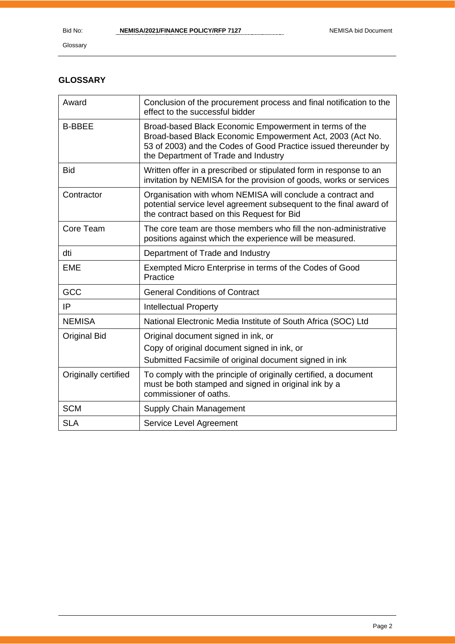Glossary

# **GLOSSARY**

| Award                | Conclusion of the procurement process and final notification to the<br>effect to the successful bidder                                                                                                                         |
|----------------------|--------------------------------------------------------------------------------------------------------------------------------------------------------------------------------------------------------------------------------|
| <b>B-BBEE</b>        | Broad-based Black Economic Empowerment in terms of the<br>Broad-based Black Economic Empowerment Act, 2003 (Act No.<br>53 of 2003) and the Codes of Good Practice issued thereunder by<br>the Department of Trade and Industry |
| <b>Bid</b>           | Written offer in a prescribed or stipulated form in response to an<br>invitation by NEMISA for the provision of goods, works or services                                                                                       |
| Contractor           | Organisation with whom NEMISA will conclude a contract and<br>potential service level agreement subsequent to the final award of<br>the contract based on this Request for Bid                                                 |
| Core Team            | The core team are those members who fill the non-administrative<br>positions against which the experience will be measured.                                                                                                    |
| dti                  | Department of Trade and Industry                                                                                                                                                                                               |
| <b>EME</b>           | Exempted Micro Enterprise in terms of the Codes of Good<br>Practice                                                                                                                                                            |
| GCC                  | <b>General Conditions of Contract</b>                                                                                                                                                                                          |
| IP                   | <b>Intellectual Property</b>                                                                                                                                                                                                   |
| <b>NEMISA</b>        | National Electronic Media Institute of South Africa (SOC) Ltd                                                                                                                                                                  |
| <b>Original Bid</b>  | Original document signed in ink, or                                                                                                                                                                                            |
|                      | Copy of original document signed in ink, or                                                                                                                                                                                    |
|                      | Submitted Facsimile of original document signed in ink                                                                                                                                                                         |
| Originally certified | To comply with the principle of originally certified, a document<br>must be both stamped and signed in original ink by a<br>commissioner of oaths.                                                                             |
| <b>SCM</b>           | Supply Chain Management                                                                                                                                                                                                        |
| <b>SLA</b>           | Service Level Agreement                                                                                                                                                                                                        |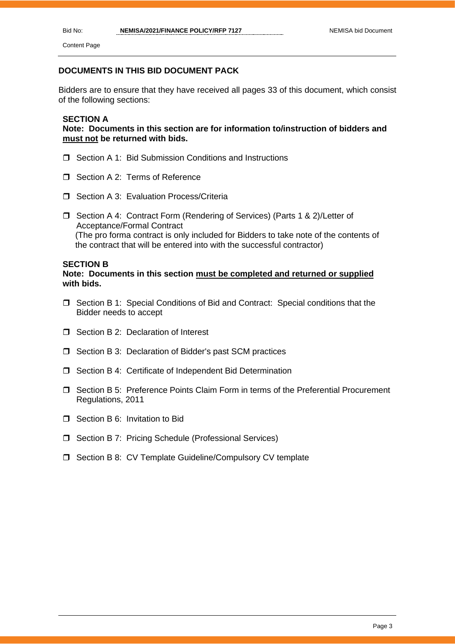Content Page

#### **DOCUMENTS IN THIS BID DOCUMENT PACK**

Bidders are to ensure that they have received all pages 33 of this document, which consist of the following sections:

#### **SECTION A**

**Note: Documents in this section are for information to/instruction of bidders and must not be returned with bids.**

- Section A 1: Bid Submission Conditions and Instructions
- □ Section A 2: Terms of Reference
- $\Box$  Section A 3: Evaluation Process/Criteria
- Section A 4: Contract Form (Rendering of Services) (Parts 1 & 2)/Letter of Acceptance/Formal Contract (The pro forma contract is only included for Bidders to take note of the contents of the contract that will be entered into with the successful contractor)

#### **SECTION B**

#### **Note: Documents in this section must be completed and returned or supplied with bids.**

- Section B 1: Special Conditions of Bid and Contract: Special conditions that the Bidder needs to accept
- **C** Section B 2: Declaration of Interest
- $\Box$  Section B 3: Declaration of Bidder's past SCM practices
- □ Section B 4: Certificate of Independent Bid Determination
- □ Section B 5: Preference Points Claim Form in terms of the Preferential Procurement Regulations, 2011
- **D** Section B 6: Invitation to Bid
- Section B 7: Pricing Schedule (Professional Services)
- □ Section B 8: CV Template Guideline/Compulsory CV template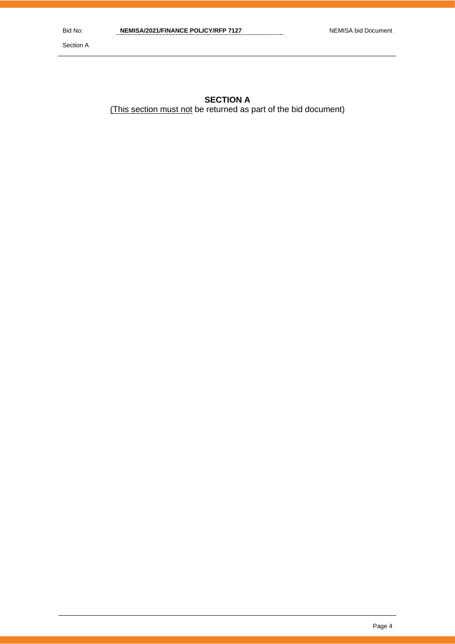# **SECTION A**

(This section must not be returned as part of the bid document)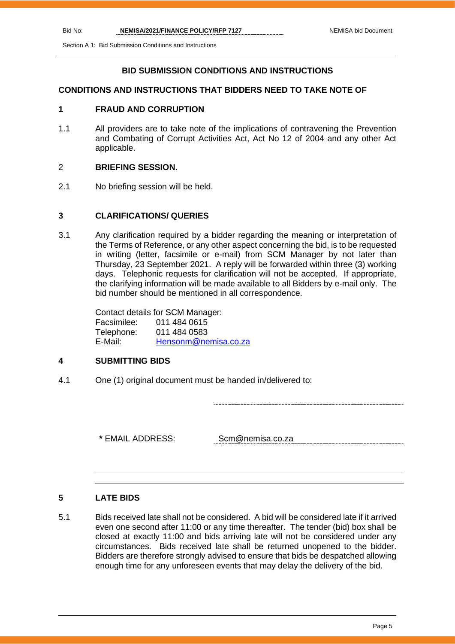Section A 1: Bid Submission Conditions and Instructions

# **BID SUBMISSION CONDITIONS AND INSTRUCTIONS**

# **CONDITIONS AND INSTRUCTIONS THAT BIDDERS NEED TO TAKE NOTE OF**

#### **1 FRAUD AND CORRUPTION**

1.1 All providers are to take note of the implications of contravening the Prevention and Combating of Corrupt Activities Act, Act No 12 of 2004 and any other Act applicable.

#### 2 **BRIEFING SESSION.**

2.1 No briefing session will be held.

#### **3 CLARIFICATIONS/ QUERIES**

3.1 Any clarification required by a bidder regarding the meaning or interpretation of the Terms of Reference, or any other aspect concerning the bid, is to be requested in writing (letter, facsimile or e-mail) from SCM Manager by not later than Thursday, 23 September 2021. A reply will be forwarded within three (3) working days. Telephonic requests for clarification will not be accepted. If appropriate, the clarifying information will be made available to all Bidders by e-mail only. The bid number should be mentioned in all correspondence.

> Contact details for SCM Manager: Facsimilee: 011 484 0615 Telephone: 011 484 0583 E-Mail: [Hensonm@nemisa.co.za](mailto:Hensonm@nemisa.co.za)

#### **4 SUBMITTING BIDS**

4.1 One (1) original document must be handed in/delivered to:

**\*** EMAIL ADDRESS: Scm@nemisa.co.za

# **5 LATE BIDS**

5.1 Bids received late shall not be considered. A bid will be considered late if it arrived even one second after 11:00 or any time thereafter. The tender (bid) box shall be closed at exactly 11:00 and bids arriving late will not be considered under any circumstances. Bids received late shall be returned unopened to the bidder. Bidders are therefore strongly advised to ensure that bids be despatched allowing enough time for any unforeseen events that may delay the delivery of the bid.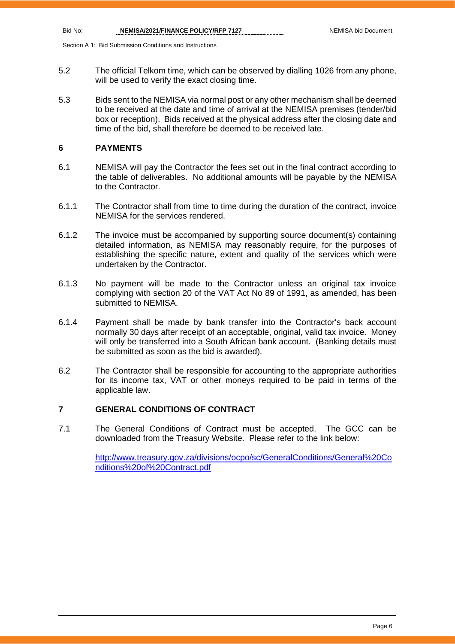Section A 1: Bid Submission Conditions and Instructions

- 5.2 The official Telkom time, which can be observed by dialling 1026 from any phone, will be used to verify the exact closing time.
- 5.3 Bids sent to the NEMISA via normal post or any other mechanism shall be deemed to be received at the date and time of arrival at the NEMISA premises (tender/bid box or reception). Bids received at the physical address after the closing date and time of the bid, shall therefore be deemed to be received late.

#### **6 PAYMENTS**

- 6.1 NEMISA will pay the Contractor the fees set out in the final contract according to the table of deliverables. No additional amounts will be payable by the NEMISA to the Contractor.
- 6.1.1 The Contractor shall from time to time during the duration of the contract, invoice NEMISA for the services rendered.
- 6.1.2 The invoice must be accompanied by supporting source document(s) containing detailed information, as NEMISA may reasonably require, for the purposes of establishing the specific nature, extent and quality of the services which were undertaken by the Contractor.
- 6.1.3 No payment will be made to the Contractor unless an original tax invoice complying with section 20 of the VAT Act No 89 of 1991, as amended, has been submitted to NEMISA.
- 6.1.4 Payment shall be made by bank transfer into the Contractor's back account normally 30 days after receipt of an acceptable, original, valid tax invoice. Money will only be transferred into a South African bank account. (Banking details must be submitted as soon as the bid is awarded).
- 6.2 The Contractor shall be responsible for accounting to the appropriate authorities for its income tax, VAT or other moneys required to be paid in terms of the applicable law.

# **7 GENERAL CONDITIONS OF CONTRACT**

7.1 The General Conditions of Contract must be accepted. The GCC can be downloaded from the Treasury Website. Please refer to the link below:

> [http://www.treasury.gov.za/divisions/ocpo/sc/GeneralConditions/General%20Co](http://www.treasury.gov.za/divisions/ocpo/sc/GeneralConditions/General%20Conditions%20of%20Contract.pdf) [nditions%20of%20Contract.pdf](http://www.treasury.gov.za/divisions/ocpo/sc/GeneralConditions/General%20Conditions%20of%20Contract.pdf)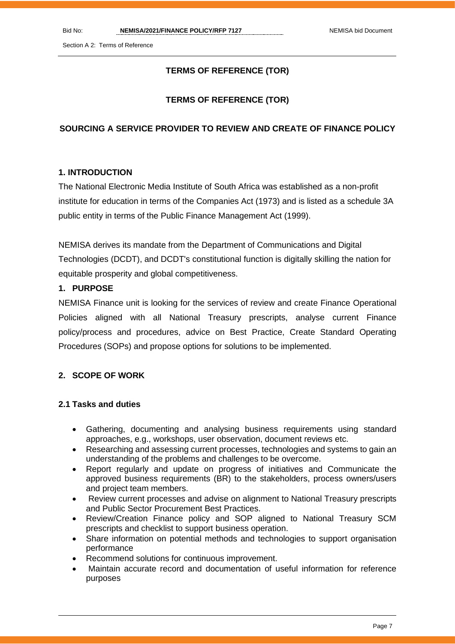Section A 2: Terms of Reference

# **TERMS OF REFERENCE (TOR)**

# **TERMS OF REFERENCE (TOR)**

# **SOURCING A SERVICE PROVIDER TO REVIEW AND CREATE OF FINANCE POLICY**

#### **1. INTRODUCTION**

The National Electronic Media Institute of South Africa was established as a non-profit institute for education in terms of the Companies Act (1973) and is listed as a schedule 3A public entity in terms of the Public Finance Management Act (1999).

NEMISA derives its mandate from the Department of Communications and Digital Technologies (DCDT), and DCDT's constitutional function is digitally skilling the nation for equitable prosperity and global competitiveness.

# **1. PURPOSE**

NEMISA Finance unit is looking for the services of review and create Finance Operational Policies aligned with all National Treasury prescripts, analyse current Finance policy/process and procedures, advice on Best Practice, Create Standard Operating Procedures (SOPs) and propose options for solutions to be implemented.

# **2. SCOPE OF WORK**

# **2.1 Tasks and duties**

- Gathering, documenting and analysing business requirements using standard approaches, e.g., workshops, user observation, document reviews etc.
- Researching and assessing current processes, technologies and systems to gain an understanding of the problems and challenges to be overcome.
- Report regularly and update on progress of initiatives and Communicate the approved business requirements (BR) to the stakeholders, process owners/users and project team members.
- Review current processes and advise on alignment to National Treasury prescripts and Public Sector Procurement Best Practices.
- Review/Creation Finance policy and SOP aligned to National Treasury SCM prescripts and checklist to support business operation.
- Share information on potential methods and technologies to support organisation performance
- Recommend solutions for continuous improvement.
- Maintain accurate record and documentation of useful information for reference purposes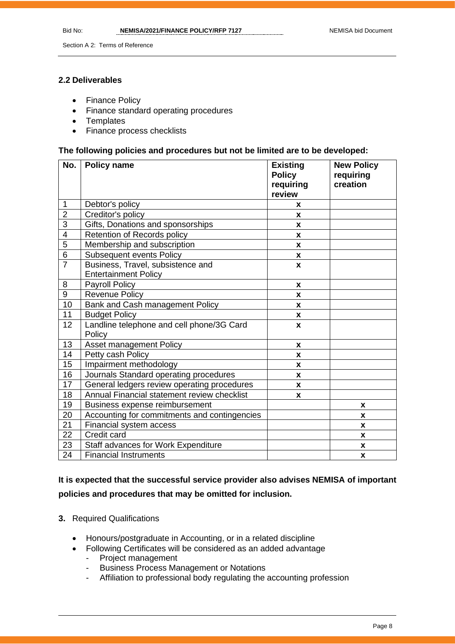Section A 2: Terms of Reference

# **2.2 Deliverables**

- Finance Policy
- Finance standard operating procedures
- Templates
- Finance process checklists

#### **The following policies and procedures but not be limited are to be developed:**

| No.                     | <b>Policy name</b>                                  | <b>Existing</b><br><b>Policy</b><br>requiring | <b>New Policy</b><br>requiring<br>creation |
|-------------------------|-----------------------------------------------------|-----------------------------------------------|--------------------------------------------|
|                         |                                                     | review                                        |                                            |
| 1<br>$\overline{2}$     | Debtor's policy<br>Creditor's policy                | X                                             |                                            |
| 3                       |                                                     | X                                             |                                            |
| $\overline{4}$          | Gifts, Donations and sponsorships                   | X                                             |                                            |
|                         | Retention of Records policy                         | X                                             |                                            |
| 5                       | Membership and subscription                         | <b>X</b>                                      |                                            |
| $\,6$<br>$\overline{7}$ | <b>Subsequent events Policy</b>                     | X                                             |                                            |
|                         | Business, Travel, subsistence and                   | X                                             |                                            |
|                         | <b>Entertainment Policy</b>                         |                                               |                                            |
| 8                       | <b>Payroll Policy</b>                               | X                                             |                                            |
| $\boldsymbol{9}$        | <b>Revenue Policy</b>                               | X                                             |                                            |
| 10                      | Bank and Cash management Policy                     | X                                             |                                            |
| 11                      | <b>Budget Policy</b>                                | X                                             |                                            |
| 12                      | Landline telephone and cell phone/3G Card<br>Policy | X                                             |                                            |
| 13                      | <b>Asset management Policy</b>                      | X                                             |                                            |
| 14                      | Petty cash Policy                                   | X                                             |                                            |
| 15                      | Impairment methodology                              | X                                             |                                            |
| 16                      | Journals Standard operating procedures              | X                                             |                                            |
| 17                      | General ledgers review operating procedures         | X                                             |                                            |
| 18                      | Annual Financial statement review checklist         | X                                             |                                            |
| 19                      | Business expense reimbursement                      |                                               | X                                          |
| 20                      | Accounting for commitments and contingencies        |                                               | X                                          |
| 21                      | Financial system access                             |                                               | X                                          |
| 22                      | Credit card                                         |                                               | X                                          |
| 23                      | Staff advances for Work Expenditure                 |                                               | X                                          |
| 24                      | <b>Financial Instruments</b>                        |                                               | X                                          |

**It is expected that the successful service provider also advises NEMISA of important policies and procedures that may be omitted for inclusion.** 

- **3.** Required Qualifications
	- Honours/postgraduate in Accounting, or in a related discipline
	- Following Certificates will be considered as an added advantage - Project management
		- Business Process Management or Notations
		- Affiliation to professional body regulating the accounting profession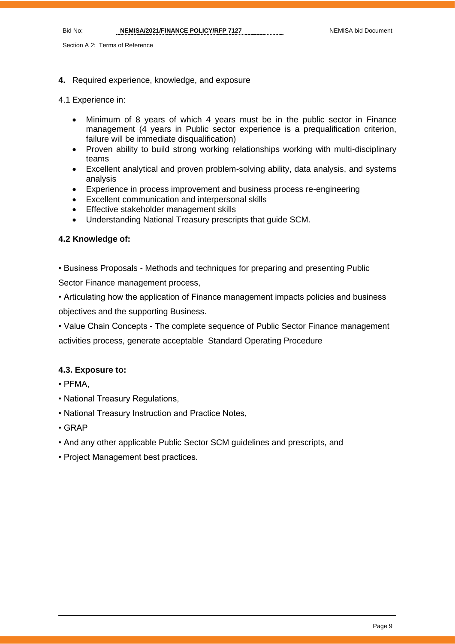Section A 2: Terms of Reference

**4.** Required experience, knowledge, and exposure

4.1 Experience in:

- Minimum of 8 years of which 4 years must be in the public sector in Finance management (4 years in Public sector experience is a prequalification criterion, failure will be immediate disqualification)
- Proven ability to build strong working relationships working with multi-disciplinary teams
- Excellent analytical and proven problem-solving ability, data analysis, and systems analysis
- Experience in process improvement and business process re-engineering
- Excellent communication and interpersonal skills
- Effective stakeholder management skills
- Understanding National Treasury prescripts that guide SCM.

# **4.2 Knowledge of:**

• Business Proposals - Methods and techniques for preparing and presenting Public

Sector Finance management process,

• Articulating how the application of Finance management impacts policies and business objectives and the supporting Business.

• Value Chain Concepts - The complete sequence of Public Sector Finance management activities process, generate acceptable Standard Operating Procedure

# **4.3. Exposure to:**

- PFMA,
- National Treasury Regulations,
- National Treasury Instruction and Practice Notes,
- GRAP
- And any other applicable Public Sector SCM guidelines and prescripts, and
- Project Management best practices.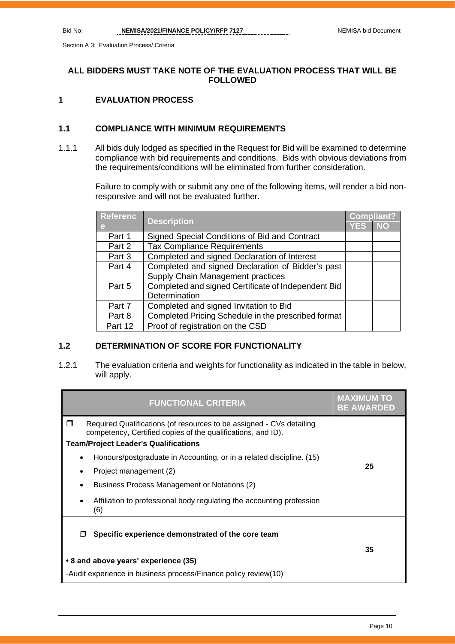Section A 3: Evaluation Process/ Criteria

# **ALL BIDDERS MUST TAKE NOTE OF THE EVALUATION PROCESS THAT WILL BE FOLLOWED**

# **1 EVALUATION PROCESS**

# **1.1 COMPLIANCE WITH MINIMUM REQUIREMENTS**

1.1.1 All bids duly lodged as specified in the Request for Bid will be examined to determine compliance with bid requirements and conditions. Bids with obvious deviations from the requirements/conditions will be eliminated from further consideration.

> Failure to comply with or submit any one of the following items, will render a bid nonresponsive and will not be evaluated further.

| <b>Referenc</b> |                                                     |     | <b>Compliant?</b> |  |
|-----------------|-----------------------------------------------------|-----|-------------------|--|
| e               | <b>Description</b>                                  | YES | <b>NO</b>         |  |
| Part 1          | Signed Special Conditions of Bid and Contract       |     |                   |  |
| Part 2          | <b>Tax Compliance Requirements</b>                  |     |                   |  |
| Part 3          | Completed and signed Declaration of Interest        |     |                   |  |
| Part 4          | Completed and signed Declaration of Bidder's past   |     |                   |  |
|                 | Supply Chain Management practices                   |     |                   |  |
| Part 5          | Completed and signed Certificate of Independent Bid |     |                   |  |
|                 | Determination                                       |     |                   |  |
| Part 7          | Completed and signed Invitation to Bid              |     |                   |  |
| Part 8          | Completed Pricing Schedule in the prescribed format |     |                   |  |
| Part 12         | Proof of registration on the CSD                    |     |                   |  |

# **1.2 DETERMINATION OF SCORE FOR FUNCTIONALITY**

1.2.1 The evaluation criteria and weights for functionality as indicated in the table in below, will apply.

| <b>FUNCTIONAL CRITERIA</b>                                                                                                                                                                    | <b>MAXIMUM TO</b><br><b>BE AWARDED</b> |
|-----------------------------------------------------------------------------------------------------------------------------------------------------------------------------------------------|----------------------------------------|
| $\Box$<br>Required Qualifications (of resources to be assigned - CVs detailing<br>competency, Certified copies of the qualifications, and ID).<br><b>Team/Project Leader's Qualifications</b> |                                        |
| Honours/postgraduate in Accounting, or in a related discipline. (15)<br>Project management (2)                                                                                                | 25                                     |
| Business Process Management or Notations (2)                                                                                                                                                  |                                        |
| Affiliation to professional body regulating the accounting profession<br>$\bullet$<br>(6)                                                                                                     |                                        |
| Specific experience demonstrated of the core team<br>□                                                                                                                                        | 35                                     |
| • 8 and above years' experience (35)                                                                                                                                                          |                                        |
| -Audit experience in business process/Finance policy review(10)                                                                                                                               |                                        |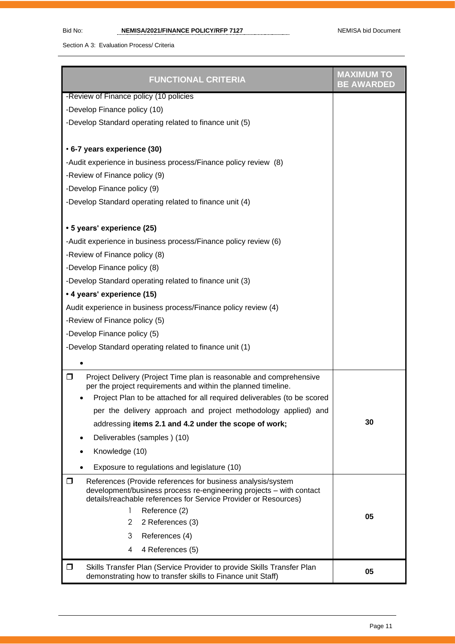Section A 3: Evaluation Process/ Criteria

| <b>FUNCTIONAL CRITERIA</b>                                                                                                                                                                                 | <b>MAXIMUM TO</b><br><b>BE AWARDED</b> |
|------------------------------------------------------------------------------------------------------------------------------------------------------------------------------------------------------------|----------------------------------------|
| -Review of Finance policy (10 policies                                                                                                                                                                     |                                        |
| -Develop Finance policy (10)                                                                                                                                                                               |                                        |
| -Develop Standard operating related to finance unit (5)                                                                                                                                                    |                                        |
|                                                                                                                                                                                                            |                                        |
| • 6-7 years experience (30)                                                                                                                                                                                |                                        |
| -Audit experience in business process/Finance policy review (8)                                                                                                                                            |                                        |
| -Review of Finance policy (9)                                                                                                                                                                              |                                        |
| -Develop Finance policy (9)                                                                                                                                                                                |                                        |
| -Develop Standard operating related to finance unit (4)                                                                                                                                                    |                                        |
|                                                                                                                                                                                                            |                                        |
| • 5 years' experience (25)                                                                                                                                                                                 |                                        |
| -Audit experience in business process/Finance policy review (6)                                                                                                                                            |                                        |
| -Review of Finance policy (8)                                                                                                                                                                              |                                        |
| -Develop Finance policy (8)                                                                                                                                                                                |                                        |
| -Develop Standard operating related to finance unit (3)                                                                                                                                                    |                                        |
| • 4 years' experience (15)                                                                                                                                                                                 |                                        |
| Audit experience in business process/Finance policy review (4)                                                                                                                                             |                                        |
| -Review of Finance policy (5)                                                                                                                                                                              |                                        |
| -Develop Finance policy (5)                                                                                                                                                                                |                                        |
| -Develop Standard operating related to finance unit (1)                                                                                                                                                    |                                        |
|                                                                                                                                                                                                            |                                        |
| ◘<br>Project Delivery (Project Time plan is reasonable and comprehensive<br>per the project requirements and within the planned timeline.                                                                  |                                        |
| Project Plan to be attached for all required deliverables (to be scored                                                                                                                                    |                                        |
| per the delivery approach and project methodology applied) and                                                                                                                                             |                                        |
| addressing items 2.1 and 4.2 under the scope of work;                                                                                                                                                      | 30                                     |
| Deliverables (samples) (10)<br>٠                                                                                                                                                                           |                                        |
| Knowledge (10)                                                                                                                                                                                             |                                        |
| Exposure to regulations and legislature (10)                                                                                                                                                               |                                        |
| ◘<br>References (Provide references for business analysis/system<br>development/business process re-engineering projects - with contact<br>details/reachable references for Service Provider or Resources) |                                        |
| Reference (2)<br>1                                                                                                                                                                                         | 05                                     |
| 2 References (3)<br>2                                                                                                                                                                                      |                                        |
| 3<br>References (4)                                                                                                                                                                                        |                                        |
| 4 References (5)<br>4                                                                                                                                                                                      |                                        |
| Skills Transfer Plan (Service Provider to provide Skills Transfer Plan<br>□<br>demonstrating how to transfer skills to Finance unit Staff)                                                                 | 05                                     |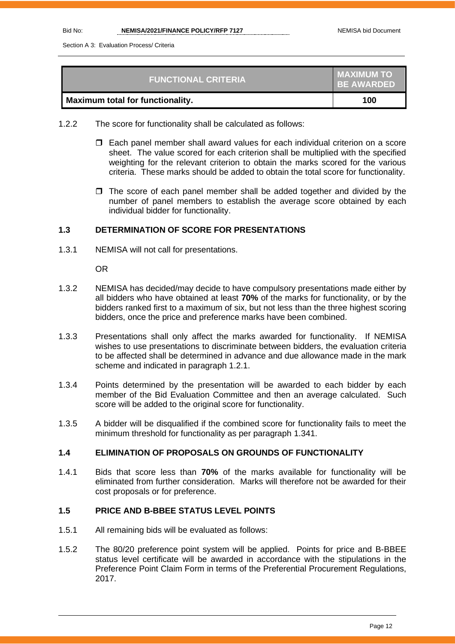Section A 3: Evaluation Process/ Criteria

| <b>FUNCTIONAL CRITERIA</b>              | <b>MAXIMUM TO</b><br><b>BE AWARDED</b> |
|-----------------------------------------|----------------------------------------|
| <b>Maximum total for functionality.</b> | 100                                    |

- 1.2.2 The score for functionality shall be calculated as follows:
	- Each panel member shall award values for each individual criterion on a score sheet. The value scored for each criterion shall be multiplied with the specified weighting for the relevant criterion to obtain the marks scored for the various criteria. These marks should be added to obtain the total score for functionality.
	- $\Box$  The score of each panel member shall be added together and divided by the number of panel members to establish the average score obtained by each individual bidder for functionality.

#### **1.3 DETERMINATION OF SCORE FOR PRESENTATIONS**

1.3.1 NEMISA will not call for presentations.

OR

- 1.3.2 NEMISA has decided/may decide to have compulsory presentations made either by all bidders who have obtained at least **70%** of the marks for functionality, or by the bidders ranked first to a maximum of six, but not less than the three highest scoring bidders, once the price and preference marks have been combined.
- 1.3.3 Presentations shall only affect the marks awarded for functionality. If NEMISA wishes to use presentations to discriminate between bidders, the evaluation criteria to be affected shall be determined in advance and due allowance made in the mark scheme and indicated in paragraph 1.2.1.
- 1.3.4 Points determined by the presentation will be awarded to each bidder by each member of the Bid Evaluation Committee and then an average calculated. Such score will be added to the original score for functionality.
- 1.3.5 A bidder will be disqualified if the combined score for functionality fails to meet the minimum threshold for functionality as per paragraph 1.341.

#### **1.4 ELIMINATION OF PROPOSALS ON GROUNDS OF FUNCTIONALITY**

1.4.1 Bids that score less than **70%** of the marks available for functionality will be eliminated from further consideration. Marks will therefore not be awarded for their cost proposals or for preference.

#### **1.5 PRICE AND B-BBEE STATUS LEVEL POINTS**

- 1.5.1 All remaining bids will be evaluated as follows:
- 1.5.2 The 80/20 preference point system will be applied. Points for price and B-BBEE status level certificate will be awarded in accordance with the stipulations in the Preference Point Claim Form in terms of the Preferential Procurement Regulations, 2017.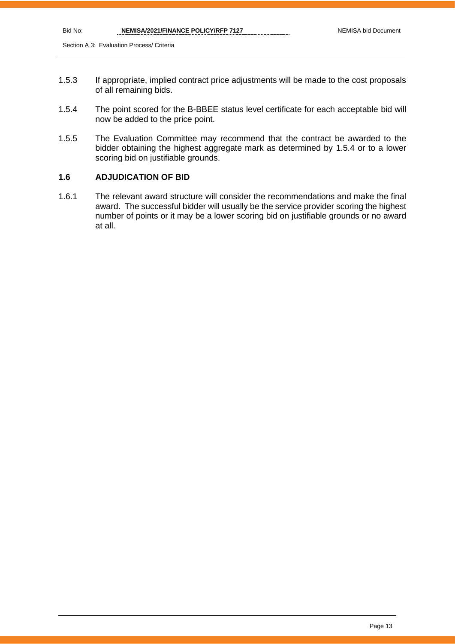- 1.5.3 If appropriate, implied contract price adjustments will be made to the cost proposals of all remaining bids.
- 1.5.4 The point scored for the B-BBEE status level certificate for each acceptable bid will now be added to the price point.
- 1.5.5 The Evaluation Committee may recommend that the contract be awarded to the bidder obtaining the highest aggregate mark as determined by 1.5.4 or to a lower scoring bid on justifiable grounds.

# **1.6 ADJUDICATION OF BID**

1.6.1 The relevant award structure will consider the recommendations and make the final award. The successful bidder will usually be the service provider scoring the highest number of points or it may be a lower scoring bid on justifiable grounds or no award at all.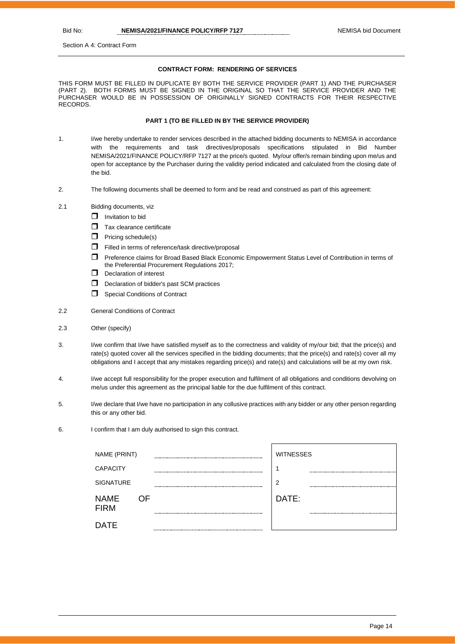Section A 4: Contract Form

#### **CONTRACT FORM: RENDERING OF SERVICES**

THIS FORM MUST BE FILLED IN DUPLICATE BY BOTH THE SERVICE PROVIDER (PART 1) AND THE PURCHASER (PART 2). BOTH FORMS MUST BE SIGNED IN THE ORIGINAL SO THAT THE SERVICE PROVIDER AND THE PURCHASER WOULD BE IN POSSESSION OF ORIGINALLY SIGNED CONTRACTS FOR THEIR RESPECTIVE RECORDS.

#### **PART 1 (TO BE FILLED IN BY THE SERVICE PROVIDER)**

- 1. I/we hereby undertake to render services described in the attached bidding documents to NEMISA in accordance with the requirements and task directives/proposals specifications stipulated in Bid Number NEMISA/2021/FINANCE POLICY/RFP 7127 at the price/s quoted. My/our offer/s remain binding upon me/us and open for acceptance by the Purchaser during the validity period indicated and calculated from the closing date of the bid.
- 2. The following documents shall be deemed to form and be read and construed as part of this agreement:
- 2.1 Bidding documents, viz
	- $\Box$  Invitation to bid
	- $\Box$  Tax clearance certificate
	- $\Box$  Pricing schedule(s)
	- Filled in terms of reference/task directive/proposal
	- Preference claims for Broad Based Black Economic Empowerment Status Level of Contribution in terms of the Preferential Procurement Regulations 2017;
	- Declaration of interest
	- D Declaration of bidder's past SCM practices
	- Special Conditions of Contract
- 2.2 General Conditions of Contract
- 2.3 Other (specify)
- 3. I/we confirm that I/we have satisfied myself as to the correctness and validity of my/our bid; that the price(s) and rate(s) quoted cover all the services specified in the bidding documents; that the price(s) and rate(s) cover all my obligations and I accept that any mistakes regarding price(s) and rate(s) and calculations will be at my own risk.
- 4. I/we accept full responsibility for the proper execution and fulfilment of all obligations and conditions devolving on me/us under this agreement as the principal liable for the due fulfilment of this contract.
- 5. I/we declare that I/we have no participation in any collusive practices with any bidder or any other person regarding this or any other bid.
- 6. I confirm that I am duly authorised to sign this contract.

| NAME (PRINT)               |      | <b>WITNESSES</b> |  |
|----------------------------|------|------------------|--|
| <b>CAPACITY</b>            |      |                  |  |
| <b>SIGNATURE</b>           |      | ာ                |  |
| <b>NAME</b><br><b>FIRM</b> | OF O | DATE:            |  |
| DATE                       |      |                  |  |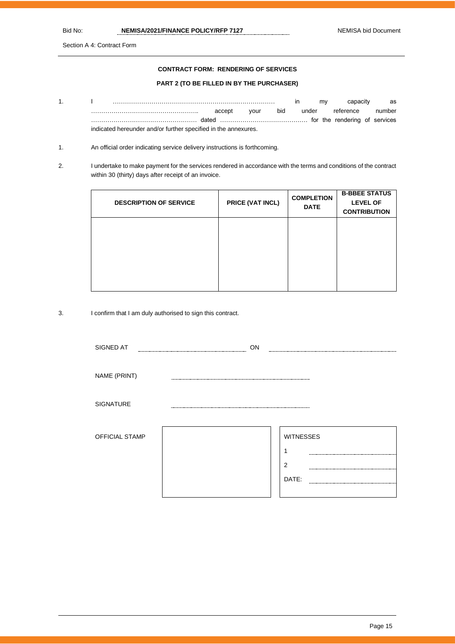Section A 4: Contract Form

#### **CONTRACT FORM: RENDERING OF SERVICES**

#### **PART 2 (TO BE FILLED IN BY THE PURCHASER)**

1. I ……………………………………………………..……………… in my capacity as …………………………………………….. accept your bid under reference number ……………………………………………. dated ……………………………………. for the rendering of services indicated hereunder and/or further specified in the annexures.

- 1. An official order indicating service delivery instructions is forthcoming.
- 2. I undertake to make payment for the services rendered in accordance with the terms and conditions of the contract within 30 (thirty) days after receipt of an invoice.

| <b>DESCRIPTION OF SERVICE</b> | PRICE (VAT INCL) | <b>COMPLETION</b><br><b>DATE</b> | <b>B-BBEE STATUS</b><br><b>LEVEL OF</b><br><b>CONTRIBUTION</b> |
|-------------------------------|------------------|----------------------------------|----------------------------------------------------------------|
|                               |                  |                                  |                                                                |
|                               |                  |                                  |                                                                |

3. I confirm that I am duly authorised to sign this contract.

| SIGNED AT             | ON |                            |  |
|-----------------------|----|----------------------------|--|
| NAME (PRINT)          |    |                            |  |
| SIGNATURE             |    |                            |  |
| <b>OFFICIAL STAMP</b> |    | <b>WITNESSES</b><br>4<br>2 |  |
|                       |    | DATE:                      |  |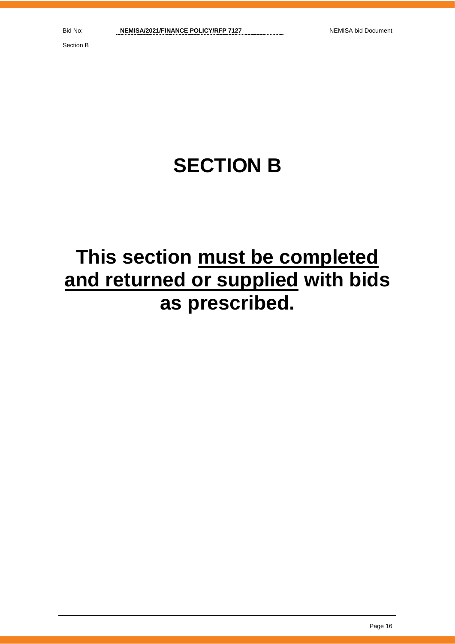Section B

# **SECTION B**

# **This section must be completed and returned or supplied with bids as prescribed.**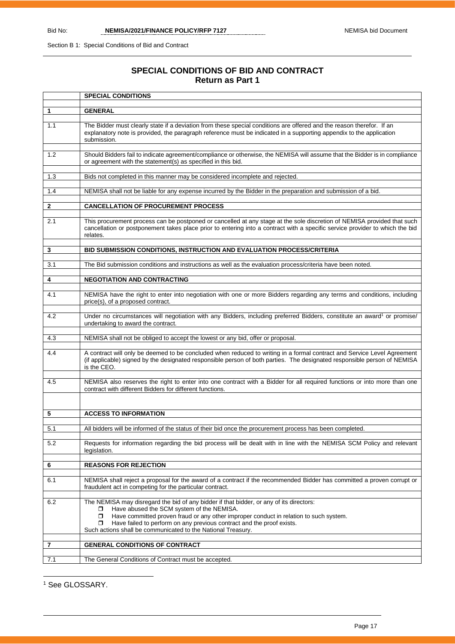# **SPECIAL CONDITIONS OF BID AND CONTRACT Return as Part 1**

|     | <b>SPECIAL CONDITIONS</b>                                                                                                                                                                                                                                                                                                                                                             |
|-----|---------------------------------------------------------------------------------------------------------------------------------------------------------------------------------------------------------------------------------------------------------------------------------------------------------------------------------------------------------------------------------------|
| 1   | <b>GENERAL</b>                                                                                                                                                                                                                                                                                                                                                                        |
|     |                                                                                                                                                                                                                                                                                                                                                                                       |
| 1.1 | The Bidder must clearly state if a deviation from these special conditions are offered and the reason therefor. If an<br>explanatory note is provided, the paragraph reference must be indicated in a supporting appendix to the application<br>submission.                                                                                                                           |
| 1.2 | Should Bidders fail to indicate agreement/compliance or otherwise, the NEMISA will assume that the Bidder is in compliance<br>or agreement with the statement(s) as specified in this bid.                                                                                                                                                                                            |
| 1.3 | Bids not completed in this manner may be considered incomplete and rejected.                                                                                                                                                                                                                                                                                                          |
|     |                                                                                                                                                                                                                                                                                                                                                                                       |
| 1.4 | NEMISA shall not be liable for any expense incurred by the Bidder in the preparation and submission of a bid.                                                                                                                                                                                                                                                                         |
| 2   | <b>CANCELLATION OF PROCUREMENT PROCESS</b>                                                                                                                                                                                                                                                                                                                                            |
|     |                                                                                                                                                                                                                                                                                                                                                                                       |
| 2.1 | This procurement process can be postponed or cancelled at any stage at the sole discretion of NEMISA provided that such<br>cancellation or postponement takes place prior to entering into a contract with a specific service provider to which the bid<br>relates.                                                                                                                   |
| 3   | BID SUBMISSION CONDITIONS, INSTRUCTION AND EVALUATION PROCESS/CRITERIA                                                                                                                                                                                                                                                                                                                |
|     |                                                                                                                                                                                                                                                                                                                                                                                       |
| 3.1 | The Bid submission conditions and instructions as well as the evaluation process/criteria have been noted.                                                                                                                                                                                                                                                                            |
| 4   | <b>NEGOTIATION AND CONTRACTING</b>                                                                                                                                                                                                                                                                                                                                                    |
|     |                                                                                                                                                                                                                                                                                                                                                                                       |
| 4.1 | NEMISA have the right to enter into negotiation with one or more Bidders regarding any terms and conditions, including<br>price(s), of a proposed contract.                                                                                                                                                                                                                           |
| 4.2 | Under no circumstances will negotiation with any Bidders, including preferred Bidders, constitute an award <sup>1</sup> or promise/                                                                                                                                                                                                                                                   |
|     | undertaking to award the contract.                                                                                                                                                                                                                                                                                                                                                    |
| 4.3 | NEMISA shall not be obliged to accept the lowest or any bid, offer or proposal.                                                                                                                                                                                                                                                                                                       |
|     |                                                                                                                                                                                                                                                                                                                                                                                       |
| 4.4 | A contract will only be deemed to be concluded when reduced to writing in a formal contract and Service Level Agreement<br>(if applicable) signed by the designated responsible person of both parties. The designated responsible person of NEMISA<br>is the CEO.                                                                                                                    |
| 4.5 | NEMISA also reserves the right to enter into one contract with a Bidder for all required functions or into more than one<br>contract with different Bidders for different functions.                                                                                                                                                                                                  |
|     |                                                                                                                                                                                                                                                                                                                                                                                       |
| 5   | <b>ACCESS TO INFORMATION</b>                                                                                                                                                                                                                                                                                                                                                          |
|     |                                                                                                                                                                                                                                                                                                                                                                                       |
| 5.1 | All bidders will be informed of the status of their bid once the procurement process has been completed.                                                                                                                                                                                                                                                                              |
| 5.2 | Requests for information regarding the bid process will be dealt with in line with the NEMISA SCM Policy and relevant<br>legislation.                                                                                                                                                                                                                                                 |
| 6   | <b>REASONS FOR REJECTION</b>                                                                                                                                                                                                                                                                                                                                                          |
|     |                                                                                                                                                                                                                                                                                                                                                                                       |
| 6.1 | NEMISA shall reject a proposal for the award of a contract if the recommended Bidder has committed a proven corrupt or<br>fraudulent act in competing for the particular contract.                                                                                                                                                                                                    |
| 6.2 | The NEMISA may disregard the bid of any bidder if that bidder, or any of its directors:<br>Have abused the SCM system of the NEMISA.<br>0<br>Have committed proven fraud or any other improper conduct in relation to such system.<br>□<br>Have failed to perform on any previous contract and the proof exists.<br>□<br>Such actions shall be communicated to the National Treasury. |
| 7   | <b>GENERAL CONDITIONS OF CONTRACT</b>                                                                                                                                                                                                                                                                                                                                                 |
|     |                                                                                                                                                                                                                                                                                                                                                                                       |
| 7.1 | The General Conditions of Contract must be accepted.                                                                                                                                                                                                                                                                                                                                  |

<sup>1</sup> See GLOSSARY.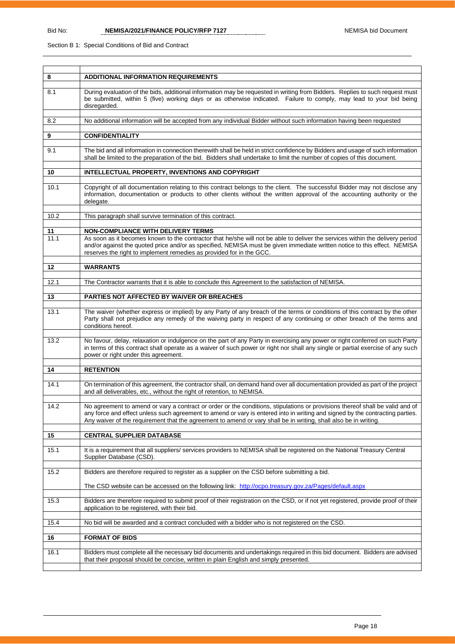| 8          | <b>ADDITIONAL INFORMATION REQUIREMENTS</b>                                                                                                                                                                                                                                                                                                                                         |
|------------|------------------------------------------------------------------------------------------------------------------------------------------------------------------------------------------------------------------------------------------------------------------------------------------------------------------------------------------------------------------------------------|
| 8.1        | During evaluation of the bids, additional information may be requested in writing from Bidders. Replies to such request must<br>be submitted, within 5 (five) working days or as otherwise indicated. Failure to comply, may lead to your bid being<br>disregarded.                                                                                                                |
| 8.2        | No additional information will be accepted from any individual Bidder without such information having been requested                                                                                                                                                                                                                                                               |
| 9          | <b>CONFIDENTIALITY</b>                                                                                                                                                                                                                                                                                                                                                             |
|            |                                                                                                                                                                                                                                                                                                                                                                                    |
| 9.1        | The bid and all information in connection therewith shall be held in strict confidence by Bidders and usage of such information<br>shall be limited to the preparation of the bid. Bidders shall undertake to limit the number of copies of this document.                                                                                                                         |
| 10         | INTELLECTUAL PROPERTY, INVENTIONS AND COPYRIGHT                                                                                                                                                                                                                                                                                                                                    |
| 10.1       | Copyright of all documentation relating to this contract belongs to the client. The successful Bidder may not disclose any<br>information, documentation or products to other clients without the written approval of the accounting authority or the<br>delegate.                                                                                                                 |
| 10.2       | This paragraph shall survive termination of this contract.                                                                                                                                                                                                                                                                                                                         |
|            |                                                                                                                                                                                                                                                                                                                                                                                    |
| 11<br>11.1 | <b>NON-COMPLIANCE WITH DELIVERY TERMS</b><br>As soon as it becomes known to the contractor that he/she will not be able to deliver the services within the delivery period                                                                                                                                                                                                         |
|            | and/or against the quoted price and/or as specified, NEMISA must be given immediate written notice to this effect. NEMISA<br>reserves the right to implement remedies as provided for in the GCC.                                                                                                                                                                                  |
| 12         | <b>WARRANTS</b>                                                                                                                                                                                                                                                                                                                                                                    |
|            |                                                                                                                                                                                                                                                                                                                                                                                    |
| 12.1       | The Contractor warrants that it is able to conclude this Agreement to the satisfaction of NEMISA.                                                                                                                                                                                                                                                                                  |
| 13         | PARTIES NOT AFFECTED BY WAIVER OR BREACHES                                                                                                                                                                                                                                                                                                                                         |
| 13.1       | The waiver (whether express or implied) by any Party of any breach of the terms or conditions of this contract by the other<br>Party shall not prejudice any remedy of the waiving party in respect of any continuing or other breach of the terms and<br>conditions hereof.                                                                                                       |
| 13.2       | No favour, delay, relaxation or indulgence on the part of any Party in exercising any power or right conferred on such Party<br>in terms of this contract shall operate as a waiver of such power or right nor shall any single or partial exercise of any such<br>power or right under this agreement.                                                                            |
| 14         | <b>RETENTION</b>                                                                                                                                                                                                                                                                                                                                                                   |
| 14.1       | On termination of this agreement, the contractor shall, on demand hand over all documentation provided as part of the project<br>and all deliverables, etc., without the right of retention, to NEMISA.                                                                                                                                                                            |
| 14.2       | No agreement to amend or vary a contract or order or the conditions, stipulations or provisions thereof shall be valid and of<br>any force and effect unless such agreement to amend or vary is entered into in writing and signed by the contracting parties.<br>Any waiver of the requirement that the agreement to amend or vary shall be in writing, shall also be in writing. |
| 15         | <b>CENTRAL SUPPLIER DATABASE</b>                                                                                                                                                                                                                                                                                                                                                   |
| 15.1       | It is a requirement that all suppliers/ services providers to NEMISA shall be registered on the National Treasury Central<br>Supplier Database (CSD).                                                                                                                                                                                                                              |
| 15.2       | Bidders are therefore required to register as a supplier on the CSD before submitting a bid.                                                                                                                                                                                                                                                                                       |
|            | The CSD website can be accessed on the following link: http://ocpo.treasury.gov.za/Pages/default.aspx                                                                                                                                                                                                                                                                              |
| 15.3       | Bidders are therefore required to submit proof of their registration on the CSD, or if not yet registered, provide proof of their<br>application to be registered, with their bid.                                                                                                                                                                                                 |
| 15.4       | No bid will be awarded and a contract concluded with a bidder who is not registered on the CSD.                                                                                                                                                                                                                                                                                    |
| 16         | <b>FORMAT OF BIDS</b>                                                                                                                                                                                                                                                                                                                                                              |
| 16.1       | Bidders must complete all the necessary bid documents and undertakings required in this bid document. Bidders are advised                                                                                                                                                                                                                                                          |
|            | that their proposal should be concise, written in plain English and simply presented.                                                                                                                                                                                                                                                                                              |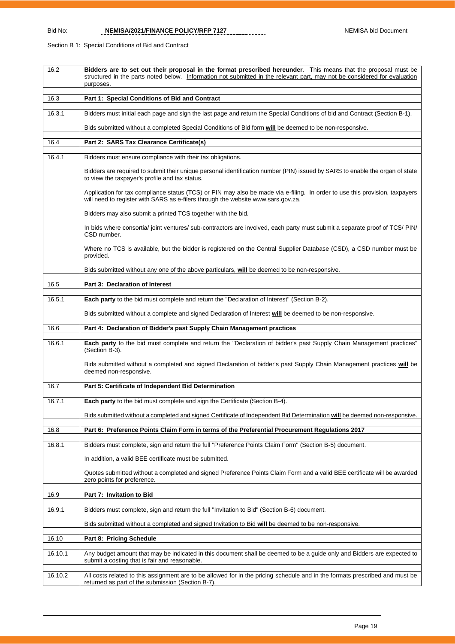| 16.2    | Bidders are to set out their proposal in the format prescribed hereunder. This means that the proposal must be<br>structured in the parts noted below. Information not submitted in the relevant part, may not be considered for evaluation<br>purposes. |
|---------|----------------------------------------------------------------------------------------------------------------------------------------------------------------------------------------------------------------------------------------------------------|
| 16.3    | Part 1: Special Conditions of Bid and Contract                                                                                                                                                                                                           |
| 16.3.1  | Bidders must initial each page and sign the last page and return the Special Conditions of bid and Contract (Section B-1).                                                                                                                               |
|         | Bids submitted without a completed Special Conditions of Bid form will be deemed to be non-responsive.                                                                                                                                                   |
| 16.4    | Part 2: SARS Tax Clearance Certificate(s)                                                                                                                                                                                                                |
| 16.4.1  | Bidders must ensure compliance with their tax obligations.                                                                                                                                                                                               |
|         | Bidders are required to submit their unique personal identification number (PIN) issued by SARS to enable the organ of state<br>to view the taxpayer's profile and tax status.                                                                           |
|         | Application for tax compliance status (TCS) or PIN may also be made via e-filing. In order to use this provision, taxpayers<br>will need to register with SARS as e-filers through the website www.sars.gov.za.                                          |
|         | Bidders may also submit a printed TCS together with the bid.                                                                                                                                                                                             |
|         | In bids where consortia/ joint ventures/ sub-contractors are involved, each party must submit a separate proof of TCS/ PIN/<br>CSD number.                                                                                                               |
|         | Where no TCS is available, but the bidder is registered on the Central Supplier Database (CSD), a CSD number must be<br>provided.                                                                                                                        |
|         | Bids submitted without any one of the above particulars, will be deemed to be non-responsive.                                                                                                                                                            |
| 16.5    | Part 3: Declaration of Interest                                                                                                                                                                                                                          |
| 16.5.1  | Each party to the bid must complete and return the "Declaration of Interest" (Section B-2).                                                                                                                                                              |
|         | Bids submitted without a complete and signed Declaration of Interest will be deemed to be non-responsive.                                                                                                                                                |
| 16.6    | Part 4: Declaration of Bidder's past Supply Chain Management practices                                                                                                                                                                                   |
| 16.6.1  | Each party to the bid must complete and return the "Declaration of bidder's past Supply Chain Management practices"<br>(Section B-3).                                                                                                                    |
|         | Bids submitted without a completed and signed Declaration of bidder's past Supply Chain Management practices will be<br>deemed non-responsive.                                                                                                           |
| 16.7    | Part 5: Certificate of Independent Bid Determination                                                                                                                                                                                                     |
| 16.7.1  | Each party to the bid must complete and sign the Certificate (Section B-4).                                                                                                                                                                              |
|         | Bids submitted without a completed and signed Certificate of Independent Bid Determination will be deemed non-responsive.                                                                                                                                |
| 16.8    | Part 6: Preference Points Claim Form in terms of the Preferential Procurement Regulations 2017                                                                                                                                                           |
| 16.8.1  | Bidders must complete, sign and return the full "Preference Points Claim Form" (Section B-5) document.                                                                                                                                                   |
|         | In addition, a valid BEE certificate must be submitted.                                                                                                                                                                                                  |
|         | Quotes submitted without a completed and signed Preference Points Claim Form and a valid BEE certificate will be awarded<br>zero points for preference.                                                                                                  |
| 16.9    | Part 7: Invitation to Bid                                                                                                                                                                                                                                |
| 16.9.1  | Bidders must complete, sign and return the full "Invitation to Bid" (Section B-6) document.                                                                                                                                                              |
|         | Bids submitted without a completed and signed Invitation to Bid will be deemed to be non-responsive.                                                                                                                                                     |
| 16.10   | Part 8: Pricing Schedule                                                                                                                                                                                                                                 |
| 16.10.1 | Any budget amount that may be indicated in this document shall be deemed to be a guide only and Bidders are expected to<br>submit a costing that is fair and reasonable.                                                                                 |
| 16.10.2 | All costs related to this assignment are to be allowed for in the pricing schedule and in the formats prescribed and must be                                                                                                                             |
|         | returned as part of the submission (Section B-7).                                                                                                                                                                                                        |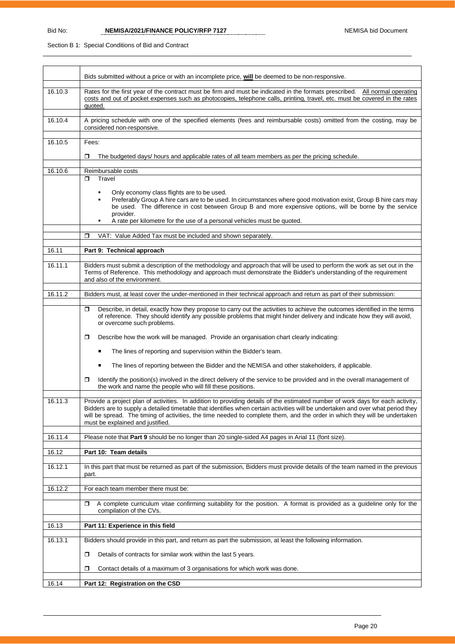|         | Bids submitted without a price or with an incomplete price, will be deemed to be non-responsive.                                                                                                                                                                                                                                                                                                                                       |
|---------|----------------------------------------------------------------------------------------------------------------------------------------------------------------------------------------------------------------------------------------------------------------------------------------------------------------------------------------------------------------------------------------------------------------------------------------|
| 16.10.3 | Rates for the first year of the contract must be firm and must be indicated in the formats prescribed. All normal operating<br>costs and out of pocket expenses such as photocopies, telephone calls, printing, travel, etc. must be covered in the rates<br>quoted.                                                                                                                                                                   |
| 16.10.4 | A pricing schedule with one of the specified elements (fees and reimbursable costs) omitted from the costing, may be<br>considered non-responsive.                                                                                                                                                                                                                                                                                     |
| 16.10.5 | Fees:                                                                                                                                                                                                                                                                                                                                                                                                                                  |
|         | The budgeted days/ hours and applicable rates of all team members as per the pricing schedule.<br>◘                                                                                                                                                                                                                                                                                                                                    |
| 16.10.6 | Reimbursable costs<br>Travel<br>Π                                                                                                                                                                                                                                                                                                                                                                                                      |
|         | Only economy class flights are to be used.<br>Preferably Group A hire cars are to be used. In circumstances where good motivation exist, Group B hire cars may<br>be used. The difference in cost between Group B and more expensive options, will be borne by the service<br>provider.<br>A rate per kilometre for the use of a personal vehicles must be quoted.<br>VAT: Value Added Tax must be included and shown separately.<br>□ |
| 16.11   | Part 9: Technical approach                                                                                                                                                                                                                                                                                                                                                                                                             |
| 16.11.1 | Bidders must submit a description of the methodology and approach that will be used to perform the work as set out in the                                                                                                                                                                                                                                                                                                              |
|         | Terms of Reference. This methodology and approach must demonstrate the Bidder's understanding of the requirement<br>and also of the environment.                                                                                                                                                                                                                                                                                       |
| 16.11.2 | Bidders must, at least cover the under-mentioned in their technical approach and return as part of their submission:                                                                                                                                                                                                                                                                                                                   |
|         | Describe, in detail, exactly how they propose to carry out the activities to achieve the outcomes identified in the terms<br>$\Box$<br>of reference. They should identify any possible problems that might hinder delivery and indicate how they will avoid,<br>or overcome such problems.                                                                                                                                             |
|         | Describe how the work will be managed. Provide an organisation chart clearly indicating:<br>□                                                                                                                                                                                                                                                                                                                                          |
|         | The lines of reporting and supervision within the Bidder's team.<br>٠                                                                                                                                                                                                                                                                                                                                                                  |
|         | The lines of reporting between the Bidder and the NEMISA and other stakeholders, if applicable.<br>п                                                                                                                                                                                                                                                                                                                                   |
|         | Identify the position(s) involved in the direct delivery of the service to be provided and in the overall management of<br>◘<br>the work and name the people who will fill these positions.                                                                                                                                                                                                                                            |
| 16.11.3 | Provide a project plan of activities. In addition to providing details of the estimated number of work days for each activity,<br>Bidders are to supply a detailed timetable that identifies when certain activities will be undertaken and over what period they<br>will be spread. The timing of activities, the time needed to complete them, and the order in which they will be undertaken<br>must be explained and justified.    |
| 16.11.4 | Please note that Part 9 should be no longer than 20 single-sided A4 pages in Arial 11 (font size).                                                                                                                                                                                                                                                                                                                                     |
| 16.12   | Part 10: Team details                                                                                                                                                                                                                                                                                                                                                                                                                  |
| 16.12.1 | In this part that must be returned as part of the submission, Bidders must provide details of the team named in the previous<br>part.                                                                                                                                                                                                                                                                                                  |
| 16.12.2 | For each team member there must be:                                                                                                                                                                                                                                                                                                                                                                                                    |
|         | A complete curriculum vitae confirming suitability for the position. A format is provided as a guideline only for the<br>□<br>compilation of the CVs.                                                                                                                                                                                                                                                                                  |
| 16.13   | Part 11: Experience in this field                                                                                                                                                                                                                                                                                                                                                                                                      |
| 16.13.1 | Bidders should provide in this part, and return as part the submission, at least the following information.                                                                                                                                                                                                                                                                                                                            |
|         | Details of contracts for similar work within the last 5 years.<br>◘                                                                                                                                                                                                                                                                                                                                                                    |
|         | Contact details of a maximum of 3 organisations for which work was done.<br>◘                                                                                                                                                                                                                                                                                                                                                          |
| 16.14   | Part 12: Registration on the CSD                                                                                                                                                                                                                                                                                                                                                                                                       |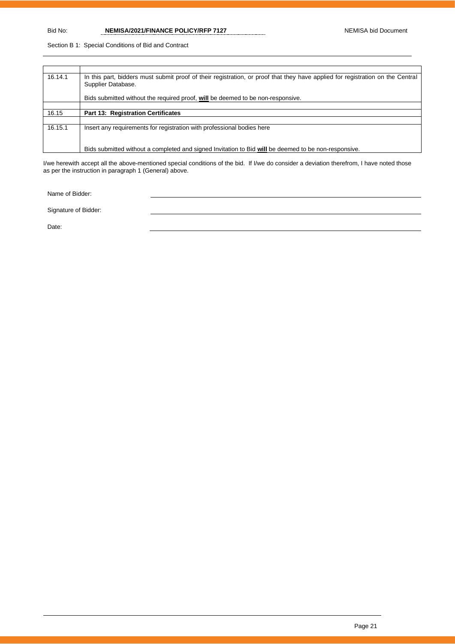#### Bid No: **NEMISA/2021/FINANCE POLICY/RFP 7127** NEMISA bid Document

Section B 1: Special Conditions of Bid and Contract

| 16.14.1 | In this part, bidders must submit proof of their registration, or proof that they have applied for registration on the Central<br>Supplier Database. |
|---------|------------------------------------------------------------------------------------------------------------------------------------------------------|
|         |                                                                                                                                                      |
|         | Bids submitted without the required proof, will be deemed to be non-responsive.                                                                      |
|         |                                                                                                                                                      |
| 16.15   | <b>Part 13: Registration Certificates</b>                                                                                                            |
|         |                                                                                                                                                      |
| 16.15.1 | Insert any requirements for registration with professional bodies here                                                                               |
|         |                                                                                                                                                      |
|         |                                                                                                                                                      |
|         | Bids submitted without a completed and signed Invitation to Bid will be deemed to be non-responsive.                                                 |

I/we herewith accept all the above-mentioned special conditions of the bid. If I/we do consider a deviation therefrom, I have noted those as per the instruction in paragraph 1 (General) above.

Name of Bidder:

Signature of Bidder:

Date: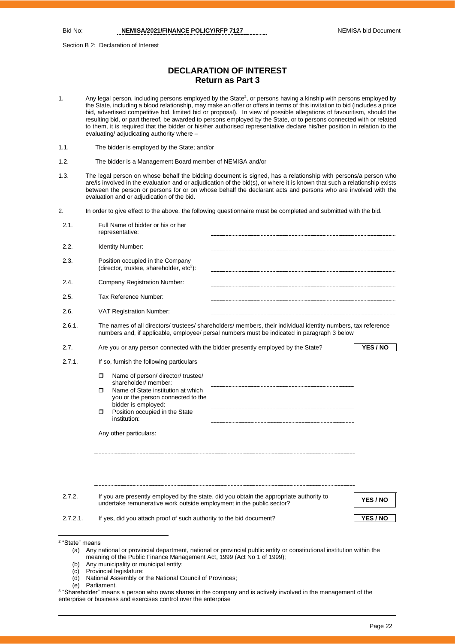Section B 2: Declaration of Interest

# **DECLARATION OF INTEREST Return as Part 3**

- 1. Any legal person, including persons employed by the State<sup>2</sup>, or persons having a kinship with persons employed by the State, including a blood relationship, may make an offer or offers in terms of this invitation to bid (includes a price bid, advertised competitive bid, limited bid or proposal). In view of possible allegations of favouritism, should the resulting bid, or part thereof, be awarded to persons employed by the State, or to persons connected with or related to them, it is required that the bidder or his/her authorised representative declare his/her position in relation to the evaluating/ adjudicating authority where –
- 1.1. The bidder is employed by the State; and/or
- 1.2. The bidder is a Management Board member of NEMISA and/or
- 1.3. The legal person on whose behalf the bidding document is signed, has a relationship with persons/a person who are/is involved in the evaluation and or adjudication of the bid(s), or where it is known that such a relationship exists between the person or persons for or on whose behalf the declarant acts and persons who are involved with the evaluation and or adjudication of the bid.
- 2. In order to give effect to the above, the following questionnaire must be completed and submitted with the bid.

| 2.1.                       | Full Name of bidder or his or her<br>representative:                                                                                                                                                         |                 |
|----------------------------|--------------------------------------------------------------------------------------------------------------------------------------------------------------------------------------------------------------|-----------------|
| 2.2.                       | Identity Number:                                                                                                                                                                                             |                 |
| 2.3.                       | Position occupied in the Company<br>(director, trustee, shareholder, $etc3$ ):                                                                                                                               |                 |
| 2.4.                       | Company Registration Number:                                                                                                                                                                                 |                 |
| 2.5.                       | Tax Reference Number:                                                                                                                                                                                        |                 |
| 2.6.                       | <b>VAT Registration Number:</b>                                                                                                                                                                              |                 |
| 2.6.1.                     | The names of all directors/ trustees/ shareholders/ members, their individual identity numbers, tax reference<br>numbers and, if applicable, employee/ persal numbers must be indicated in paragraph 3 below |                 |
| 2.7.                       | Are you or any person connected with the bidder presently employed by the State?                                                                                                                             | YES / NO        |
| 2.7.1.                     | If so, furnish the following particulars                                                                                                                                                                     |                 |
|                            | Name of person/ director/ trustee/<br>$\Box$                                                                                                                                                                 |                 |
|                            | shareholder/ member:<br>Name of State institution at which<br>$\Box$                                                                                                                                         |                 |
|                            | you or the person connected to the<br>bidder is employed:                                                                                                                                                    |                 |
|                            | Position occupied in the State<br>0<br>institution:                                                                                                                                                          |                 |
|                            | Any other particulars:                                                                                                                                                                                       |                 |
|                            |                                                                                                                                                                                                              |                 |
|                            |                                                                                                                                                                                                              |                 |
| 2.7.2.                     | If you are presently employed by the state, did you obtain the appropriate authority to<br>undertake remunerative work outside employment in the public sector?                                              | <b>YES / NO</b> |
| $2.7.2.1$ .                | If yes, did you attach proof of such authority to the bid document?                                                                                                                                          | <b>YES / NO</b> |
| <sup>2</sup> "State" means |                                                                                                                                                                                                              |                 |
|                            | (a) Any national or provincial department, national or provincial public entity or constitutional institution within the<br>meaning of the Public Finance Management Act, 1999 (Act No 1 of 1999);           |                 |
| (b)                        | Any municipality or municipal entity;                                                                                                                                                                        |                 |

- (c) Provincial legislature;
- (d) National Assembly or the National Council of Provinces;
- (e) Parliament.

<sup>3</sup> "Shareholder" means a person who owns shares in the company and is actively involved in the management of the enterprise or business and exercises control over the enterprise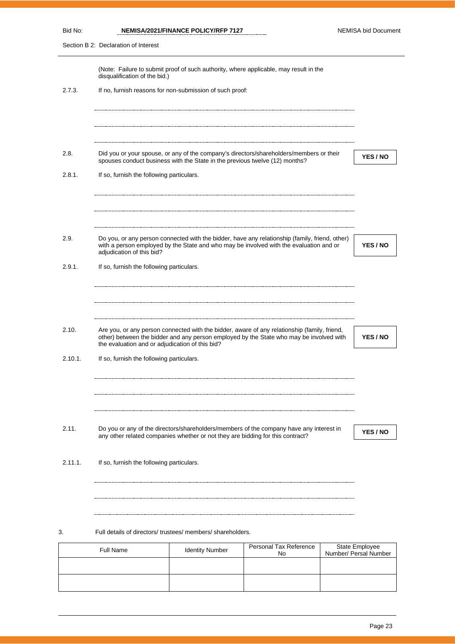| Bid No: |                                                 | NEMISA/2021/FINANCE POLICY/RFP 7127                                            |                                                                                                                                                                                          | <b>NEMISA bid Document</b>              |
|---------|-------------------------------------------------|--------------------------------------------------------------------------------|------------------------------------------------------------------------------------------------------------------------------------------------------------------------------------------|-----------------------------------------|
|         | Section B 2: Declaration of Interest            |                                                                                |                                                                                                                                                                                          |                                         |
|         | disqualification of the bid.)                   |                                                                                | (Note: Failure to submit proof of such authority, where applicable, may result in the                                                                                                    |                                         |
| 2.7.3.  |                                                 | If no, furnish reasons for non-submission of such proof:                       |                                                                                                                                                                                          |                                         |
|         |                                                 |                                                                                |                                                                                                                                                                                          |                                         |
|         |                                                 |                                                                                |                                                                                                                                                                                          |                                         |
| 2.8.    |                                                 | spouses conduct business with the State in the previous twelve (12) months?    | Did you or your spouse, or any of the company's directors/shareholders/members or their                                                                                                  | YES / NO                                |
| 2.8.1.  | If so, furnish the following particulars.       |                                                                                |                                                                                                                                                                                          |                                         |
|         |                                                 |                                                                                |                                                                                                                                                                                          |                                         |
| 2.9.    |                                                 |                                                                                | Do you, or any person connected with the bidder, have any relationship (family, friend, other)<br>with a person employed by the State and who may be involved with the evaluation and or | <b>YES / NO</b>                         |
|         | adjudication of this bid?                       |                                                                                |                                                                                                                                                                                          |                                         |
| 2.9.1.  | If so, furnish the following particulars.       |                                                                                |                                                                                                                                                                                          |                                         |
|         |                                                 |                                                                                |                                                                                                                                                                                          |                                         |
|         |                                                 |                                                                                |                                                                                                                                                                                          |                                         |
| 2.10.   | the evaluation and or adjudication of this bid? |                                                                                | Are you, or any person connected with the bidder, aware of any relationship (family, friend,<br>other) between the bidder and any person employed by the State who may be involved with  | YES / NO                                |
| 2.10.1. | If so, furnish the following particulars.       |                                                                                |                                                                                                                                                                                          |                                         |
|         |                                                 |                                                                                |                                                                                                                                                                                          |                                         |
|         |                                                 |                                                                                |                                                                                                                                                                                          |                                         |
|         |                                                 |                                                                                |                                                                                                                                                                                          |                                         |
| 2.11.   |                                                 | any other related companies whether or not they are bidding for this contract? | Do you or any of the directors/shareholders/members of the company have any interest in                                                                                                  | YES / NO                                |
| 2.11.1. | If so, furnish the following particulars.       |                                                                                |                                                                                                                                                                                          |                                         |
|         |                                                 |                                                                                |                                                                                                                                                                                          |                                         |
|         |                                                 |                                                                                |                                                                                                                                                                                          |                                         |
| 3.      |                                                 | Full details of directors/trustees/members/shareholders.                       |                                                                                                                                                                                          |                                         |
|         | Full Name                                       | <b>Identity Number</b>                                                         | Personal Tax Reference<br>No                                                                                                                                                             | State Employee<br>Number/ Persal Number |
|         |                                                 |                                                                                |                                                                                                                                                                                          |                                         |
|         |                                                 |                                                                                |                                                                                                                                                                                          |                                         |

Page 23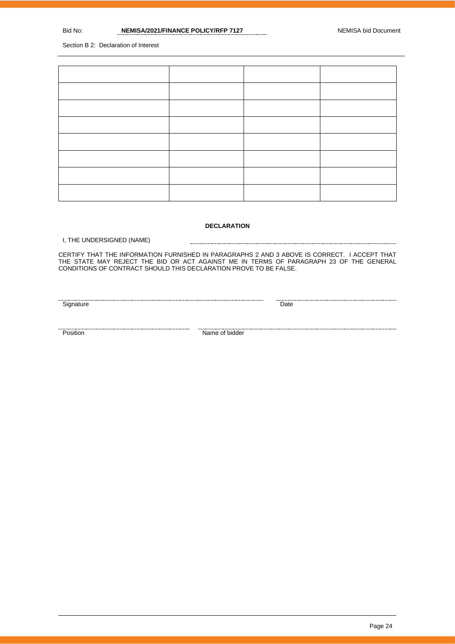Section B 2: Declaration of Interest

#### **DECLARATION**

#### I, THE UNDERSIGNED (NAME)

CERTIFY THAT THE INFORMATION FURNISHED IN PARAGRAPHS 2 AND 3 ABOVE IS CORRECT. I ACCEPT THAT THE STATE MAY REJECT THE BID OR ACT AGAINST ME IN TERMS OF PARAGRAPH 23 OF THE GENERAL CONDITIONS OF CONTRACT SHOULD THIS DECLARATION PROVE TO BE FALSE.

Signature Date Date

Position Name of bidder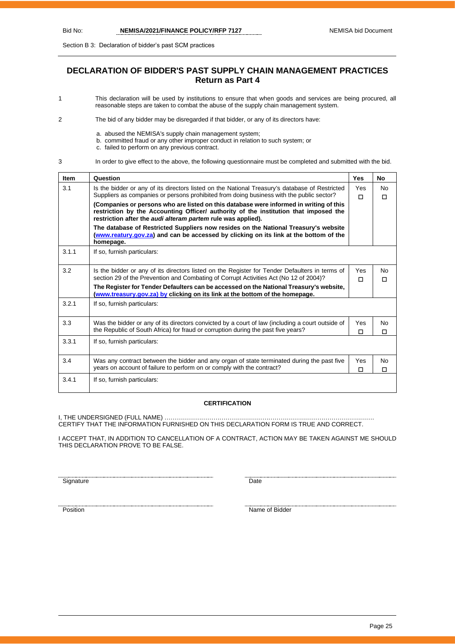Section B 3: Declaration of bidder's past SCM practices

# **DECLARATION OF BIDDER'S PAST SUPPLY CHAIN MANAGEMENT PRACTICES Return as Part 4**

- 1 This declaration will be used by institutions to ensure that when goods and services are being procured, all reasonable steps are taken to combat the abuse of the supply chain management system.
- 2 The bid of any bidder may be disregarded if that bidder, or any of its directors have:
	- a. abused the NEMISA's supply chain management system;
	- b. committed fraud or any other improper conduct in relation to such system; or
	- c. failed to perform on any previous contract.

3 In order to give effect to the above, the following questionnaire must be completed and submitted with the bid.

| <b>Item</b> | Question                                                                                                                                                                                                                                       | <b>Yes</b> | <b>No</b>      |
|-------------|------------------------------------------------------------------------------------------------------------------------------------------------------------------------------------------------------------------------------------------------|------------|----------------|
| 3.1         | Is the bidder or any of its directors listed on the National Treasury's database of Restricted                                                                                                                                                 | <b>Yes</b> | <b>No</b>      |
|             | Suppliers as companies or persons prohibited from doing business with the public sector?                                                                                                                                                       | п          | П              |
|             | (Companies or persons who are listed on this database were informed in writing of this<br>restriction by the Accounting Officer/ authority of the institution that imposed the<br>restriction after the audi alteram partem rule was applied). |            |                |
|             | The database of Restricted Suppliers now resides on the National Treasury's website<br>(www.reatury.gov.za) and can be accessed by clicking on its link at the bottom of the<br>homepage.                                                      |            |                |
| 3.1.1       | If so, furnish particulars:                                                                                                                                                                                                                    |            |                |
| 3.2         | Is the bidder or any of its directors listed on the Register for Tender Defaulters in terms of                                                                                                                                                 | Yes.       | No.            |
|             | section 29 of the Prevention and Combating of Corrupt Activities Act (No 12 of 2004)?                                                                                                                                                          | п          | П              |
|             | The Register for Tender Defaulters can be accessed on the National Treasury's website,<br>(www.treasury.gov.za) by clicking on its link at the bottom of the homepage.                                                                         |            |                |
| 3.2.1       | If so, furnish particulars:                                                                                                                                                                                                                    |            |                |
| 3.3         | Was the bidder or any of its directors convicted by a court of law (including a court outside of                                                                                                                                               | <b>Yes</b> | N <sub>0</sub> |
|             | the Republic of South Africa) for fraud or corruption during the past five years?                                                                                                                                                              | п          | □              |
| 3.3.1       | If so, furnish particulars:                                                                                                                                                                                                                    |            |                |
| 3.4         | Was any contract between the bidder and any organ of state terminated during the past five                                                                                                                                                     | Yes        | No.            |
|             | years on account of failure to perform on or comply with the contract?                                                                                                                                                                         | □          | □              |
| 3.4.1       | If so, furnish particulars:                                                                                                                                                                                                                    |            |                |

#### **CERTIFICATION**

I, THE UNDERSIGNED (FULL NAME) …………………………………………………………………………………………. CERTIFY THAT THE INFORMATION FURNISHED ON THIS DECLARATION FORM IS TRUE AND CORRECT.

I ACCEPT THAT, IN ADDITION TO CANCELLATION OF A CONTRACT, ACTION MAY BE TAKEN AGAINST ME SHOULD THIS DECLARATION PROVE TO BE FALSE.

<u>Signature Date</u>

<u>Position</u> Name of Bidder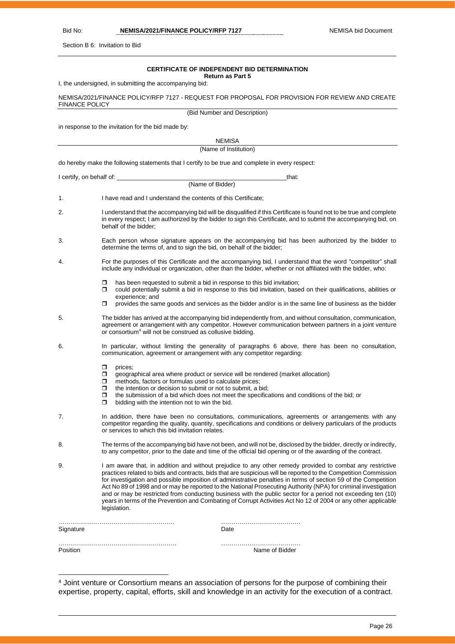Section B 6: Invitation to Bid

#### **CERTIFICATE OF INDEPENDENT BID DETERMINATION Return as Part 5**

I, the undersigned, in submitting the accompanying bid:

#### NEMISA/2021/FINANCE POLICY/RFP 7127 - REQUEST FOR PROPOSAL FOR PROVISION FOR REVIEW AND CREATE FINANCE POLICY

(Bid Number and Description)

in response to the invitation for the bid made by:

**NEMISA** (Name of Institution) do hereby make the following statements that I certify to be true and complete in every respect: I certify, on behalf of: \_\_\_\_\_\_\_\_\_\_\_\_\_\_\_\_\_\_\_\_\_\_\_\_\_\_\_\_\_\_\_\_\_\_\_\_\_\_\_\_\_\_\_\_\_\_\_\_\_\_that: (Name of Bidder) 1. I have read and I understand the contents of this Certificate; 2. I understand that the accompanying bid will be disqualified if this Certificate is found not to be true and complete in every respect; I am authorized by the bidder to sign this Certificate, and to submit the accompanying bid, on behalf of the bidder; 3. Each person whose signature appears on the accompanying bid has been authorized by the bidder to determine the terms of, and to sign the bid, on behalf of the bidder; 4. For the purposes of this Certificate and the accompanying bid, I understand that the word "competitor" shall include any individual or organization, other than the bidder, whether or not affiliated with the bidder, who:  $\Box$  has been requested to submit a bid in response to this bid invitation; could potentially submit a bid in response to this bid invitation, based on their qualifications, abilities or experience; and  $\Box$  provides the same goods and services as the bidder and/or is in the same line of business as the bidder 5. The bidder has arrived at the accompanying bid independently from, and without consultation, communication, agreement or arrangement with any competitor. However communication between partners in a joint venture or consortium<sup>4</sup> will not be construed as collusive bidding. 6. In particular, without limiting the generality of paragraphs 6 above, there has been no consultation, communication, agreement or arrangement with any competitor regarding: prices;<br>n geogra geographical area where product or service will be rendered (market allocation)  $\Box$  methods, factors or formulas used to calculate prices;  $\Box$  the intention or decision to submit or not to submit, a bid;  $\Box$  the submission of a bid which does not meet the specifications and conditions of the bid; or  $\Box$  bidding with the intention not to win the bid bidding with the intention not to win the bid. 7. In addition, there have been no consultations, communications, agreements or arrangements with any competitor regarding the quality, quantity, specifications and conditions or delivery particulars of the products or services to which this bid invitation relates. 8. The terms of the accompanying bid have not been, and will not be, disclosed by the bidder, directly or indirectly, to any competitor, prior to the date and time of the official bid opening or of the awarding of the contract. 9. I am aware that, in addition and without prejudice to any other remedy provided to combat any restrictive practices related to bids and contracts, bids that are suspicious will be reported to the Competition Commission for investigation and possible imposition of administrative penalties in terms of section 59 of the Competition Act No 89 of 1998 and or may be reported to the National Prosecuting Authority (NPA) for criminal investigation and or may be restricted from conducting business with the public sector for a period not exceeding ten (10) years in terms of the Prevention and Combating of Corrupt Activities Act No 12 of 2004 or any other applicable legislation. ………………………………………………… ………………………………… Signature …………………………………………………. ………………………………… Position **Name of Bidder Name of Bidder** 

<sup>4</sup> Joint venture or Consortium means an association of persons for the purpose of combining their expertise, property, capital, efforts, skill and knowledge in an activity for the execution of a contract.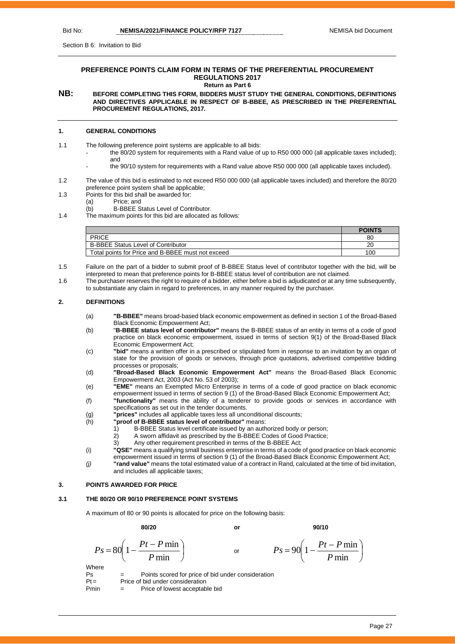Section B 6: Invitation to Bid

#### **PREFERENCE POINTS CLAIM FORM IN TERMS OF THE PREFERENTIAL PROCUREMENT REGULATIONS 2017 Return as Part 6**

**NB: BEFORE COMPLETING THIS FORM, BIDDERS MUST STUDY THE GENERAL CONDITIONS, DEFINITIONS AND DIRECTIVES APPLICABLE IN RESPECT OF B-BBEE, AS PRESCRIBED IN THE PREFERENTIAL PROCUREMENT REGULATIONS, 2017.** 

#### **1. GENERAL CONDITIONS**

- 1.1 The following preference point systems are applicable to all bids:
	- the 80/20 system for requirements with a Rand value of up to R50 000 000 (all applicable taxes included); and
		- the 90/10 system for requirements with a Rand value above R50 000 000 (all applicable taxes included).
- 1.2 The value of this bid is estimated to not exceed R50 000 000 (all applicable taxes included) and therefore the 80/20 preference point system shall be applicable;
- 1.3 Points for this bid shall be awarded for:
	- (a) Price; and

(b) B-BBEE Status Level of Contributor.

1.4 The maximum points for this bid are allocated as follows:

|                                                   | <b>POINTS</b> |
|---------------------------------------------------|---------------|
| PRICE                                             | 80            |
| <b>B-BBEE Status Level of Contributor</b>         | 20            |
| Total points for Price and B-BBEE must not exceed | 100           |

1.5 Failure on the part of a bidder to submit proof of B-BBEE Status level of contributor together with the bid, will be interpreted to mean that preference points for B-BBEE status level of contribution are not claimed.

1.6 The purchaser reserves the right to require of a bidder, either before a bid is adjudicated or at any time subsequently, to substantiate any claim in regard to preferences, in any manner required by the purchaser.

#### **2. DEFINITIONS**

- (a) **"B-BBEE"** means broad-based black economic empowerment as defined in section 1 of the Broad-Based Black Economic Empowerment Act;
- (b) "**B-BBEE status level of contributor"** means the B-BBEE status of an entity in terms of a code of good practice on black economic empowerment, issued in terms of section 9(1) of the Broad-Based Black Economic Empowerment Act;
- (c) **"bid"** means a written offer in a prescribed or stipulated form in response to an invitation by an organ of state for the provision of goods or services, through price quotations, advertised competitive bidding processes or proposals;
- (d) **"Broad-Based Black Economic Empowerment Act"** means the Broad-Based Black Economic Empowerment Act, 2003 (Act No. 53 of 2003);
- (e) **"EME"** means an Exempted Micro Enterprise in terms of a code of good practice on black economic empowerment issued in terms of section 9 (1) of the Broad-Based Black Economic Empowerment Act;
- (f) **"functionality"** means the ability of a tenderer to provide goods or services in accordance with specifications as set out in the tender documents.
- (g) **"prices"** includes all applicable taxes less all unconditional discounts;
- (h) **"proof of B-BBEE status level of contributor"** means:
	- 1) B-BBEE Status level certificate issued by an authorized body or person;
		- 2) A sworn affidavit as prescribed by the B-BBEE Codes of Good Practice;
	- 3) Any other requirement prescribed in terms of the B-BBEE Act;

(i) **"QSE"** means a qualifying small business enterprise in terms of a code of good practice on black economic

empowerment issued in terms of section 9 (1) of the Broad-Based Black Economic Empowerment Act;

*(j)* **"rand value"** means the total estimated value of a contract in Rand, calculated at the time of bid invitation, and includes all applicable taxes;

#### **3. POINTS AWARDED FOR PRICE**

#### **3.1 THE 80/20 OR 90/10 PREFERENCE POINT SYSTEMS**

A maximum of 80 or 90 points is allocated for price on the following basis:

**80/20 or 90/10**

$$
s = 80 \left( 1 - \frac{Pt - P \min P}{ \min} \right)
$$

$$
Ps = 80 \left( 1 - \frac{Pt - P \min}{P \min} \right) \qquad \text{or} \qquad \qquad Ps = 90 \left( 1 - \frac{Pt - P \min}{P \min} \right)
$$

**Where** 

 $Ps$  = Points scored for price of bid under consideration<br>Pt= Price of bid under consideration  $Pt =$  Price of bid under consideration<br>Pmin = Price of lowest acceptable Price of lowest acceptable bid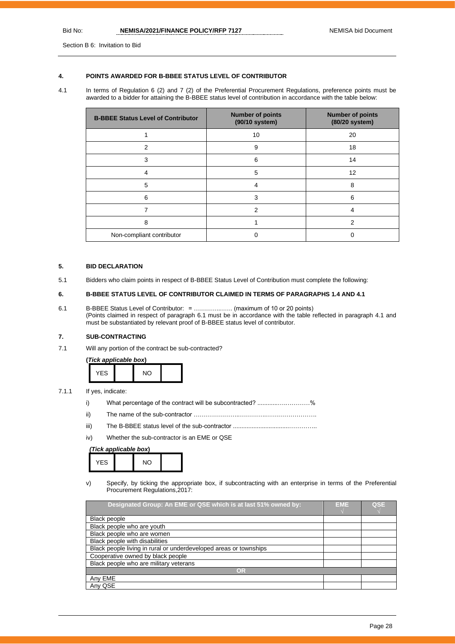Section B 6: Invitation to Bid

#### **4. POINTS AWARDED FOR B-BBEE STATUS LEVEL OF CONTRIBUTOR**

4.1 In terms of Regulation 6 (2) and 7 (2) of the Preferential Procurement Regulations, preference points must be awarded to a bidder for attaining the B-BBEE status level of contribution in accordance with the table below:

| <b>B-BBEE Status Level of Contributor</b> | <b>Number of points</b><br>(90/10 system) | <b>Number of points</b><br>(80/20 system) |
|-------------------------------------------|-------------------------------------------|-------------------------------------------|
|                                           | 10                                        | 20                                        |
| 2                                         | 9                                         | 18                                        |
| 3                                         | 6                                         | 14                                        |
| 4                                         | 5                                         | 12                                        |
| 5                                         | 4                                         | 8                                         |
| 6                                         | 3                                         | 6                                         |
|                                           | 2                                         | 4                                         |
| 8                                         |                                           | $\mathcal{P}$                             |
| Non-compliant contributor                 |                                           |                                           |

#### **5. BID DECLARATION**

5.1 Bidders who claim points in respect of B-BBEE Status Level of Contribution must complete the following:

#### **6. B-BBEE STATUS LEVEL OF CONTRIBUTOR CLAIMED IN TERMS OF PARAGRAPHS 1.4 AND 4.1**

6.1 B-BBEE Status Level of Contributor: = ………….…… (maximum of 10 or 20 points) (Points claimed in respect of paragraph 6.1 must be in accordance with the table reflected in paragraph 4.1 and must be substantiated by relevant proof of B-BBEE status level of contributor.

#### **7. SUB-CONTRACTING**

7.1 Will any portion of the contract be sub-contracted?

**(***Tick applicable box***)** YES NO

#### 7.1.1 If yes, indicate:

- i) What percentage of the contract will be subcontracted? .........................%
- ii) The name of the sub-contractor …………………..………….…………………….
- iii) The B-BBEE status level of the sub-contractor .................................…………..
- iv) Whether the sub-contractor is an EME or QSE

#### *(Tick applicable box***)**



v) Specify, by ticking the appropriate box, if subcontracting with an enterprise in terms of the Preferential Procurement Regulations,2017:

| Designated Group: An EME or QSE which is at last 51% owned by:    | <b>EME</b> | QSE |
|-------------------------------------------------------------------|------------|-----|
|                                                                   |            |     |
| Black people                                                      |            |     |
| Black people who are youth                                        |            |     |
| Black people who are women                                        |            |     |
| Black people with disabilities                                    |            |     |
| Black people living in rural or underdeveloped areas or townships |            |     |
| Cooperative owned by black people                                 |            |     |
| Black people who are military veterans                            |            |     |
| OR                                                                |            |     |
| Any EME                                                           |            |     |
| Any QSE                                                           |            |     |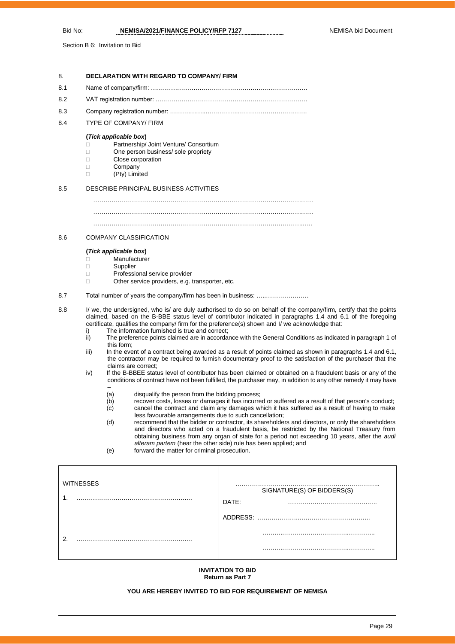#### Bid No: **NEMISA/2021/FINANCE POLICY/RFP 7127** NEMISA bid Document

8. **DECLARATION WITH REGARD TO COMPANY/ FIRM**

Section B 6: Invitation to Bid

| 8.1 |                                                                                                                                                                                                                                                                                                                                                                                                                                                                                                                                                                                                                                                                                                                                                                                                                                                                                                                                                                                                                                                                                                                                                                                                                                                                                                                                                                              |
|-----|------------------------------------------------------------------------------------------------------------------------------------------------------------------------------------------------------------------------------------------------------------------------------------------------------------------------------------------------------------------------------------------------------------------------------------------------------------------------------------------------------------------------------------------------------------------------------------------------------------------------------------------------------------------------------------------------------------------------------------------------------------------------------------------------------------------------------------------------------------------------------------------------------------------------------------------------------------------------------------------------------------------------------------------------------------------------------------------------------------------------------------------------------------------------------------------------------------------------------------------------------------------------------------------------------------------------------------------------------------------------------|
| 8.2 |                                                                                                                                                                                                                                                                                                                                                                                                                                                                                                                                                                                                                                                                                                                                                                                                                                                                                                                                                                                                                                                                                                                                                                                                                                                                                                                                                                              |
| 8.3 |                                                                                                                                                                                                                                                                                                                                                                                                                                                                                                                                                                                                                                                                                                                                                                                                                                                                                                                                                                                                                                                                                                                                                                                                                                                                                                                                                                              |
| 8.4 | <b>TYPE OF COMPANY/ FIRM</b>                                                                                                                                                                                                                                                                                                                                                                                                                                                                                                                                                                                                                                                                                                                                                                                                                                                                                                                                                                                                                                                                                                                                                                                                                                                                                                                                                 |
|     | (Tick applicable box)<br>Partnership/ Joint Venture/ Consortium<br>П.<br>One person business/ sole propriety<br>П.<br>Close corporation<br>$\Box$<br>Company<br>$\Box$<br>(Pty) Limited<br>П.                                                                                                                                                                                                                                                                                                                                                                                                                                                                                                                                                                                                                                                                                                                                                                                                                                                                                                                                                                                                                                                                                                                                                                                |
| 8.5 | <b>DESCRIBE PRINCIPAL BUSINESS ACTIVITIES</b>                                                                                                                                                                                                                                                                                                                                                                                                                                                                                                                                                                                                                                                                                                                                                                                                                                                                                                                                                                                                                                                                                                                                                                                                                                                                                                                                |
|     |                                                                                                                                                                                                                                                                                                                                                                                                                                                                                                                                                                                                                                                                                                                                                                                                                                                                                                                                                                                                                                                                                                                                                                                                                                                                                                                                                                              |
| 8.6 | <b>COMPANY CLASSIFICATION</b>                                                                                                                                                                                                                                                                                                                                                                                                                                                                                                                                                                                                                                                                                                                                                                                                                                                                                                                                                                                                                                                                                                                                                                                                                                                                                                                                                |
|     | (Tick applicable box)<br>Manufacturer<br>0<br>П.<br>Supplier<br>Professional service provider<br>П.<br>Other service providers, e.g. transporter, etc.<br>П.                                                                                                                                                                                                                                                                                                                                                                                                                                                                                                                                                                                                                                                                                                                                                                                                                                                                                                                                                                                                                                                                                                                                                                                                                 |
| 8.7 | Total number of years the company/firm has been in business:                                                                                                                                                                                                                                                                                                                                                                                                                                                                                                                                                                                                                                                                                                                                                                                                                                                                                                                                                                                                                                                                                                                                                                                                                                                                                                                 |
| 8.8 | I/ we, the undersigned, who is/ are duly authorised to do so on behalf of the company/firm, certify that the points<br>claimed, based on the B-BBE status level of contributor indicated in paragraphs 1.4 and 6.1 of the foregoing<br>certificate, qualifies the company/ firm for the preference(s) shown and I/ we acknowledge that:<br>The information furnished is true and correct;<br>i)<br>ii)<br>The preference points claimed are in accordance with the General Conditions as indicated in paragraph 1 of<br>this form;<br>In the event of a contract being awarded as a result of points claimed as shown in paragraphs 1.4 and 6.1,<br>iii)<br>the contractor may be required to furnish documentary proof to the satisfaction of the purchaser that the<br>claims are correct:<br>If the B-BBEE status level of contributor has been claimed or obtained on a fraudulent basis or any of the<br>iv)<br>conditions of contract have not been fulfilled, the purchaser may, in addition to any other remedy it may have<br>(a)<br>disqualify the person from the bidding process;<br>recover costs, losses or damages it has incurred or suffered as a result of that person's conduct;<br>(b)<br>cancel the contract and claim any damages which it has suffered as a result of having to make<br>(c)<br>less favourable arrangements due to such cancellation; |
|     | recommend that the bidder or contractor, its shareholders and directors, or only the shareholders<br>(d)<br>and directors who acted on a fraudulent basis, be restricted by the National Treasury from<br>obtaining business from any organ of state for a period not exceeding 10 years, after the audi<br>alteram partem (hear the other side) rule has been applied; and<br>forward the matter for criminal prosecution.<br>(e)                                                                                                                                                                                                                                                                                                                                                                                                                                                                                                                                                                                                                                                                                                                                                                                                                                                                                                                                           |
|     |                                                                                                                                                                                                                                                                                                                                                                                                                                                                                                                                                                                                                                                                                                                                                                                                                                                                                                                                                                                                                                                                                                                                                                                                                                                                                                                                                                              |

| <b>WITNESSES</b><br>. | SIGNATURE(S) OF BIDDERS(S)<br>DATE: |
|-----------------------|-------------------------------------|
|                       | ADDRESS:<br>.<br>.                  |
| ◠                     |                                     |
|                       |                                     |

#### **INVITATION TO BID Return as Part 7**

#### **YOU ARE HEREBY INVITED TO BID FOR REQUIREMENT OF NEMISA**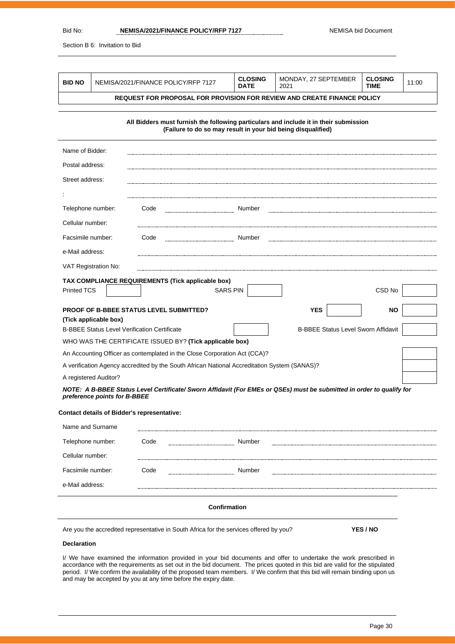#### Bid No: **NEMISA/2021/FINANCE POLICY/RFP 7127** NEMISA bid Document

Section B 6: Invitation to Bid

| <b>BID NO</b>      |                              | NEMISA/2021/FINANCE POLICY/RFP 7127                      | <b>CLOSING</b><br><b>DATE</b>                                                                                                                         | MONDAY, 27 SEPTEMBER<br>2021 | <b>CLOSING</b><br><b>TIME</b>              | 11:00 |
|--------------------|------------------------------|----------------------------------------------------------|-------------------------------------------------------------------------------------------------------------------------------------------------------|------------------------------|--------------------------------------------|-------|
|                    |                              |                                                          | REQUEST FOR PROPOSAL FOR PROVISION FOR REVIEW AND CREATE FINANCE POLICY                                                                               |                              |                                            |       |
|                    |                              |                                                          | All Bidders must furnish the following particulars and include it in their submission<br>(Failure to do so may result in your bid being disqualified) |                              |                                            |       |
| Name of Bidder:    |                              |                                                          |                                                                                                                                                       |                              |                                            |       |
| Postal address:    |                              |                                                          |                                                                                                                                                       |                              |                                            |       |
| Street address:    |                              |                                                          |                                                                                                                                                       |                              |                                            |       |
|                    |                              |                                                          |                                                                                                                                                       |                              |                                            |       |
| Telephone number:  |                              | Code                                                     | Number                                                                                                                                                |                              |                                            |       |
| Cellular number:   |                              |                                                          |                                                                                                                                                       |                              |                                            |       |
| Facsimile number:  |                              | Code                                                     | Number                                                                                                                                                |                              |                                            |       |
| e-Mail address:    |                              |                                                          |                                                                                                                                                       |                              |                                            |       |
|                    | VAT Registration No:         |                                                          |                                                                                                                                                       |                              |                                            |       |
|                    |                              | TAX COMPLIANCE REQUIREMENTS (Tick applicable box)        |                                                                                                                                                       |                              |                                            |       |
| <b>Printed TCS</b> |                              |                                                          | SARS PIN                                                                                                                                              |                              | CSD <sub>No</sub>                          |       |
|                    |                              |                                                          |                                                                                                                                                       |                              |                                            |       |
|                    | (Tick applicable box)        | <b>PROOF OF B-BBEE STATUS LEVEL SUBMITTED?</b>           |                                                                                                                                                       | <b>YES</b>                   | <b>NO</b>                                  |       |
|                    |                              | <b>B-BBEE Status Level Verification Certificate</b>      |                                                                                                                                                       |                              | <b>B-BBEE Status Level Sworn Affidavit</b> |       |
|                    |                              | WHO WAS THE CERTIFICATE ISSUED BY? (Tick applicable box) |                                                                                                                                                       |                              |                                            |       |
|                    |                              |                                                          | An Accounting Officer as contemplated in the Close Corporation Act (CCA)?                                                                             |                              |                                            |       |
|                    |                              |                                                          | A verification Agency accredited by the South African National Accreditation System (SANAS)?                                                          |                              |                                            |       |
|                    | A registered Auditor?        |                                                          |                                                                                                                                                       |                              |                                            |       |
|                    | preference points for B-BBEE |                                                          | NOTE: A B-BBEE Status Level Certificate/ Sworn Affidavit (For EMEs or QSEs) must be submitted in order to qualify for                                 |                              |                                            |       |
|                    |                              | <b>Contact details of Bidder's representative:</b>       |                                                                                                                                                       |                              |                                            |       |
|                    | Name and Surname             |                                                          |                                                                                                                                                       |                              |                                            |       |
| Telephone number:  |                              | Code                                                     | Number                                                                                                                                                |                              |                                            |       |
| Cellular number:   |                              |                                                          |                                                                                                                                                       |                              |                                            |       |
| Facsimile number:  |                              | Code                                                     | Number                                                                                                                                                |                              |                                            |       |
| e-Mail address:    |                              |                                                          |                                                                                                                                                       |                              |                                            |       |
|                    |                              |                                                          | Confirmation                                                                                                                                          |                              |                                            |       |
|                    |                              |                                                          |                                                                                                                                                       |                              | YES / NO                                   |       |
|                    |                              |                                                          | Are you the accredited representative in South Africa for the services offered by you?                                                                |                              |                                            |       |

I/ We have examined the information provided in your bid documents and offer to undertake the work prescribed in accordance with the requirements as set out in the bid document. The prices quoted in this bid are valid for the stipulated period. I/ We confirm the availability of the proposed team members. I/ We confirm that this bid will remain binding upon us and may be accepted by you at any time before the expiry date.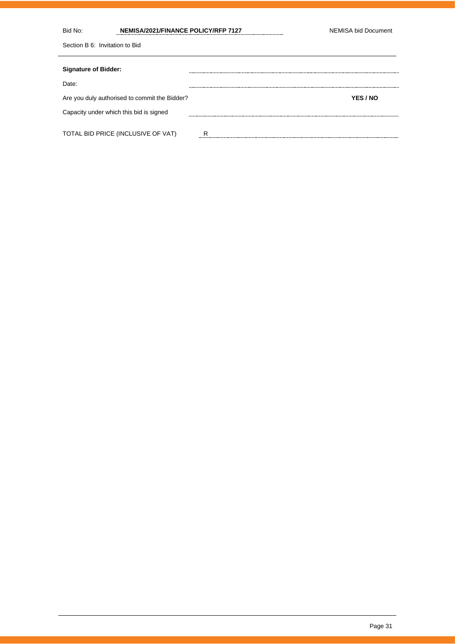| Bid No:                        | NEMISA/2021/FINANCE POLICY/RFP 7127           |   | NEMISA bid Document |
|--------------------------------|-----------------------------------------------|---|---------------------|
| Section B 6: Invitation to Bid |                                               |   |                     |
| <b>Signature of Bidder:</b>    |                                               |   |                     |
| Date:                          |                                               |   |                     |
|                                | Are you duly authorised to commit the Bidder? |   | YES / NO            |
|                                | Capacity under which this bid is signed       |   |                     |
|                                | TOTAL BID PRICE (INCLUSIVE OF VAT)            | R |                     |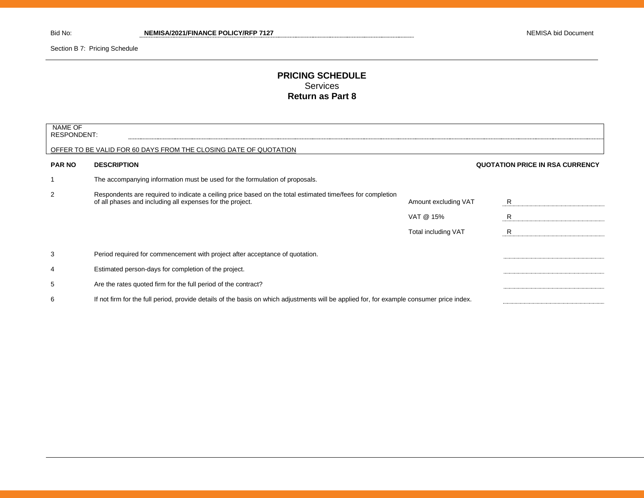Section B 7: Pricing Schedule

# **PRICING SCHEDULE** Services **Return as Part 8**

| NAME OF<br><b>RESPONDENT:</b> |                                                                                                                                                                         |                      |                                        |  |
|-------------------------------|-------------------------------------------------------------------------------------------------------------------------------------------------------------------------|----------------------|----------------------------------------|--|
|                               | OFFER TO BE VALID FOR 60 DAYS FROM THE CLOSING DATE OF QUOTATION                                                                                                        |                      |                                        |  |
| <b>PAR NO</b>                 | <b>DESCRIPTION</b>                                                                                                                                                      |                      | <b>QUOTATION PRICE IN RSA CURRENCY</b> |  |
|                               | The accompanying information must be used for the formulation of proposals.                                                                                             |                      |                                        |  |
| 2                             | Respondents are required to indicate a ceiling price based on the total estimated time/fees for completion<br>of all phases and including all expenses for the project. | Amount excluding VAT | R                                      |  |
|                               |                                                                                                                                                                         | VAT @ 15%            | R                                      |  |
|                               |                                                                                                                                                                         | Total including VAT  | R                                      |  |
| 3                             | Period required for commencement with project after acceptance of quotation.                                                                                            |                      |                                        |  |
| 4                             | Estimated person-days for completion of the project.                                                                                                                    |                      |                                        |  |
| 5                             | Are the rates quoted firm for the full period of the contract?                                                                                                          |                      |                                        |  |
| 6                             | If not firm for the full period, provide details of the basis on which adjustments will be applied for, for example consumer price index.                               |                      |                                        |  |